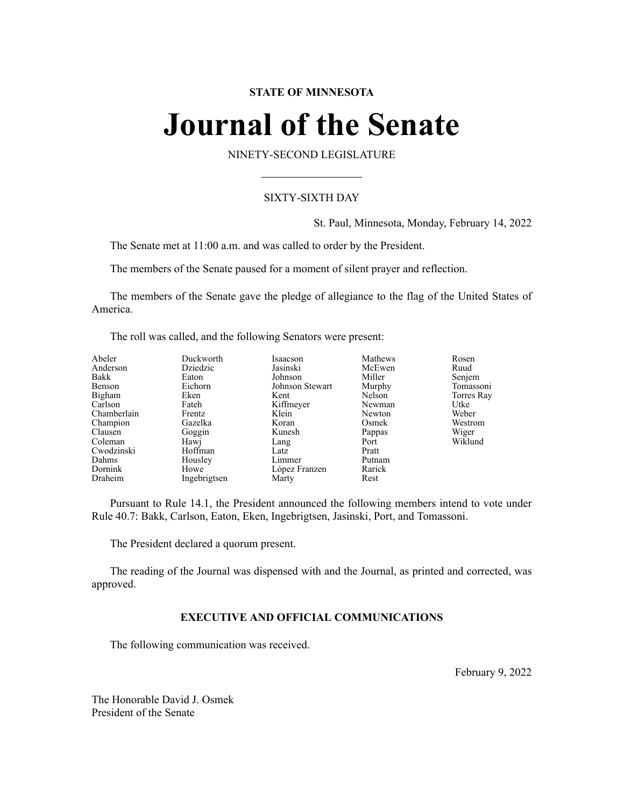# **STATE OF MINNESOTA**

# **Journal of the Senate**

NINETY-SECOND LEGISLATURE

# SIXTY-SIXTH DAY

St. Paul, Minnesota, Monday, February 14, 2022

The Senate met at 11:00 a.m. and was called to order by the President.

The members of the Senate paused for a moment of silent prayer and reflection.

The members of the Senate gave the pledge of allegiance to the flag of the United States of America.

The roll was called, and the following Senators were present:

| Abeler      | Duckworth    | Isaacson        | Mathews | Rosen      |
|-------------|--------------|-----------------|---------|------------|
| Anderson    | Dziedzic     | Jasinski        | McEwen  | Ruud       |
| Bakk        | Eaton        | Johnson         | Miller  | Senjem     |
| Benson      | Eichorn      | Johnson Stewart | Murphy  | Tomassoni  |
| Bigham      | Eken         | Kent            | Nelson  | Torres Ray |
| Carlson     | Fateh        | Kiffmeyer       | Newman  | Utke       |
| Chamberlain | Frentz       | Klein           | Newton  | Weber      |
| Champion    | Gazelka      | Koran           | Osmek   | Westrom    |
| Clausen     | Goggin       | Kunesh          | Pappas  | Wiger      |
| Coleman     | Hawi         | Lang            | Port    | Wiklund    |
| Cwodzinski  | Hoffman      | Latz            | Pratt   |            |
| Dahms       | Housley      | Limmer          | Putnam  |            |
| Dornink     | Howe         | López Franzen   | Rarick  |            |
| Draheim     | Ingebrigtsen | Marty           | Rest    |            |

Pursuant to Rule 14.1, the President announced the following members intend to vote under Rule 40.7: Bakk, Carlson, Eaton, Eken, Ingebrigtsen, Jasinski, Port, and Tomassoni.

The President declared a quorum present.

The reading of the Journal was dispensed with and the Journal, as printed and corrected, was approved.

# **EXECUTIVE AND OFFICIAL COMMUNICATIONS**

The following communication was received.

February 9, 2022

The Honorable David J. Osmek President of the Senate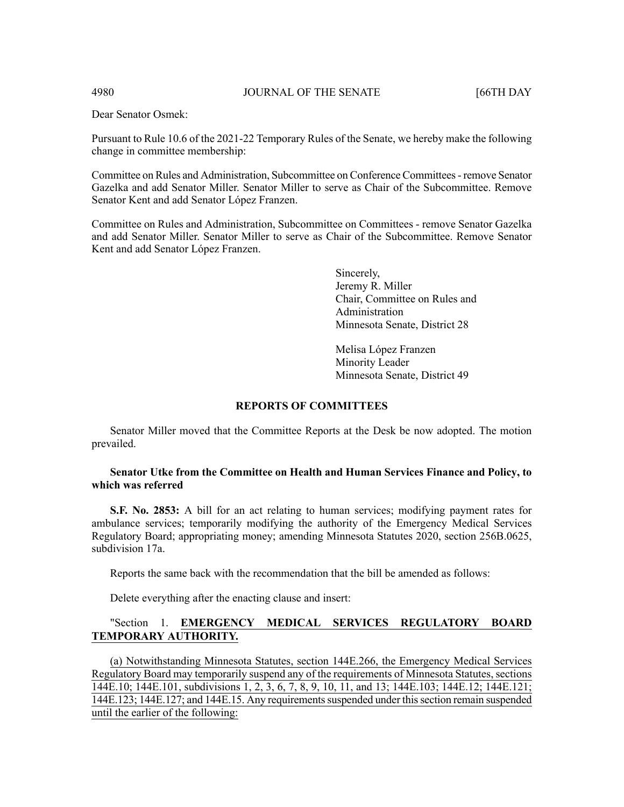Dear Senator Osmek:

Pursuant to Rule 10.6 of the 2021-22 Temporary Rules of the Senate, we hereby make the following change in committee membership:

Committee on Rules and Administration, Subcommittee on Conference Committees- remove Senator Gazelka and add Senator Miller. Senator Miller to serve as Chair of the Subcommittee. Remove Senator Kent and add Senator López Franzen.

Committee on Rules and Administration, Subcommittee on Committees - remove Senator Gazelka and add Senator Miller. Senator Miller to serve as Chair of the Subcommittee. Remove Senator Kent and add Senator López Franzen.

> Sincerely, Jeremy R. Miller Chair, Committee on Rules and Administration Minnesota Senate, District 28

Melisa López Franzen Minority Leader Minnesota Senate, District 49

# **REPORTS OF COMMITTEES**

Senator Miller moved that the Committee Reports at the Desk be now adopted. The motion prevailed.

# **Senator Utke from the Committee on Health and Human Services Finance and Policy, to which was referred**

**S.F. No. 2853:** A bill for an act relating to human services; modifying payment rates for ambulance services; temporarily modifying the authority of the Emergency Medical Services Regulatory Board; appropriating money; amending Minnesota Statutes 2020, section 256B.0625, subdivision 17a.

Reports the same back with the recommendation that the bill be amended as follows:

Delete everything after the enacting clause and insert:

# "Section 1. **EMERGENCY MEDICAL SERVICES REGULATORY BOARD TEMPORARY AUTHORITY.**

(a) Notwithstanding Minnesota Statutes, section 144E.266, the Emergency Medical Services Regulatory Board may temporarily suspend any of the requirements of Minnesota Statutes, sections 144E.10; 144E.101, subdivisions 1, 2, 3, 6, 7, 8, 9, 10, 11, and 13; 144E.103; 144E.12; 144E.121; 144E.123; 144E.127; and 144E.15. Any requirementssuspended under thissection remain suspended until the earlier of the following: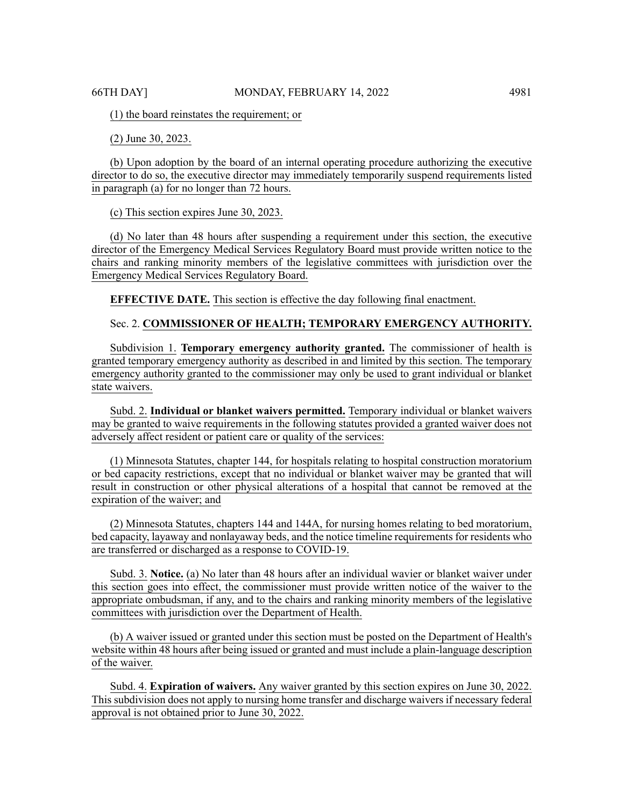(1) the board reinstates the requirement; or

(2) June 30, 2023.

(b) Upon adoption by the board of an internal operating procedure authorizing the executive director to do so, the executive director may immediately temporarily suspend requirements listed in paragraph (a) for no longer than 72 hours.

(c) This section expires June 30, 2023.

(d) No later than 48 hours after suspending a requirement under this section, the executive director of the Emergency Medical Services Regulatory Board must provide written notice to the chairs and ranking minority members of the legislative committees with jurisdiction over the Emergency Medical Services Regulatory Board.

**EFFECTIVE DATE.** This section is effective the day following final enactment.

# Sec. 2. **COMMISSIONER OF HEALTH; TEMPORARY EMERGENCY AUTHORITY.**

Subdivision 1. **Temporary emergency authority granted.** The commissioner of health is granted temporary emergency authority as described in and limited by this section. The temporary emergency authority granted to the commissioner may only be used to grant individual or blanket state waivers.

Subd. 2. **Individual or blanket waivers permitted.** Temporary individual or blanket waivers may be granted to waive requirements in the following statutes provided a granted waiver does not adversely affect resident or patient care or quality of the services:

(1) Minnesota Statutes, chapter 144, for hospitals relating to hospital construction moratorium or bed capacity restrictions, except that no individual or blanket waiver may be granted that will result in construction or other physical alterations of a hospital that cannot be removed at the expiration of the waiver; and

(2) Minnesota Statutes, chapters 144 and 144A, for nursing homes relating to bed moratorium, bed capacity, layaway and nonlayaway beds, and the notice timeline requirements for residents who are transferred or discharged as a response to COVID-19.

Subd. 3. **Notice.** (a) No later than 48 hours after an individual wavier or blanket waiver under this section goes into effect, the commissioner must provide written notice of the waiver to the appropriate ombudsman, if any, and to the chairs and ranking minority members of the legislative committees with jurisdiction over the Department of Health.

(b) A waiver issued or granted under this section must be posted on the Department of Health's website within 48 hours after being issued or granted and must include a plain-language description of the waiver.

Subd. 4. **Expiration of waivers.** Any waiver granted by this section expires on June 30, 2022. This subdivision does not apply to nursing home transfer and discharge waivers if necessary federal approval is not obtained prior to June 30, 2022.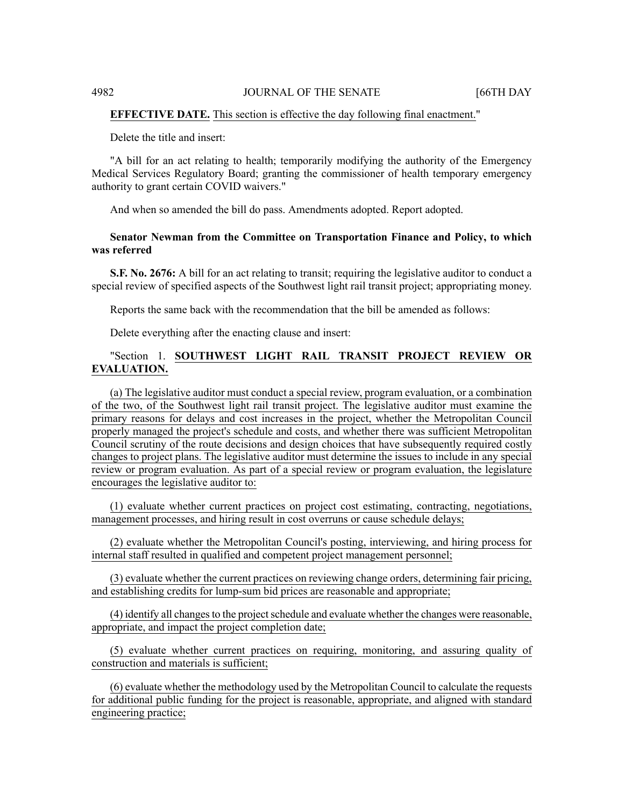# **EFFECTIVE DATE.** This section is effective the day following final enactment."

Delete the title and insert:

"A bill for an act relating to health; temporarily modifying the authority of the Emergency Medical Services Regulatory Board; granting the commissioner of health temporary emergency authority to grant certain COVID waivers."

And when so amended the bill do pass. Amendments adopted. Report adopted.

# **Senator Newman from the Committee on Transportation Finance and Policy, to which was referred**

**S.F. No. 2676:** A bill for an act relating to transit; requiring the legislative auditor to conduct a special review of specified aspects of the Southwest light rail transit project; appropriating money.

Reports the same back with the recommendation that the bill be amended as follows:

Delete everything after the enacting clause and insert:

# "Section 1. **SOUTHWEST LIGHT RAIL TRANSIT PROJECT REVIEW OR EVALUATION.**

(a) The legislative auditor must conduct a special review, program evaluation, or a combination of the two, of the Southwest light rail transit project. The legislative auditor must examine the primary reasons for delays and cost increases in the project, whether the Metropolitan Council properly managed the project's schedule and costs, and whether there was sufficient Metropolitan Council scrutiny of the route decisions and design choices that have subsequently required costly changes to project plans. The legislative auditor must determine the issues to include in any special review or program evaluation. As part of a special review or program evaluation, the legislature encourages the legislative auditor to:

(1) evaluate whether current practices on project cost estimating, contracting, negotiations, management processes, and hiring result in cost overruns or cause schedule delays;

(2) evaluate whether the Metropolitan Council's posting, interviewing, and hiring process for internal staff resulted in qualified and competent project management personnel;

(3) evaluate whether the current practices on reviewing change orders, determining fair pricing, and establishing credits for lump-sum bid prices are reasonable and appropriate;

(4) identify all changes to the project schedule and evaluate whether the changes were reasonable, appropriate, and impact the project completion date;

(5) evaluate whether current practices on requiring, monitoring, and assuring quality of construction and materials is sufficient;

(6) evaluate whether the methodology used by the Metropolitan Council to calculate the requests for additional public funding for the project is reasonable, appropriate, and aligned with standard engineering practice;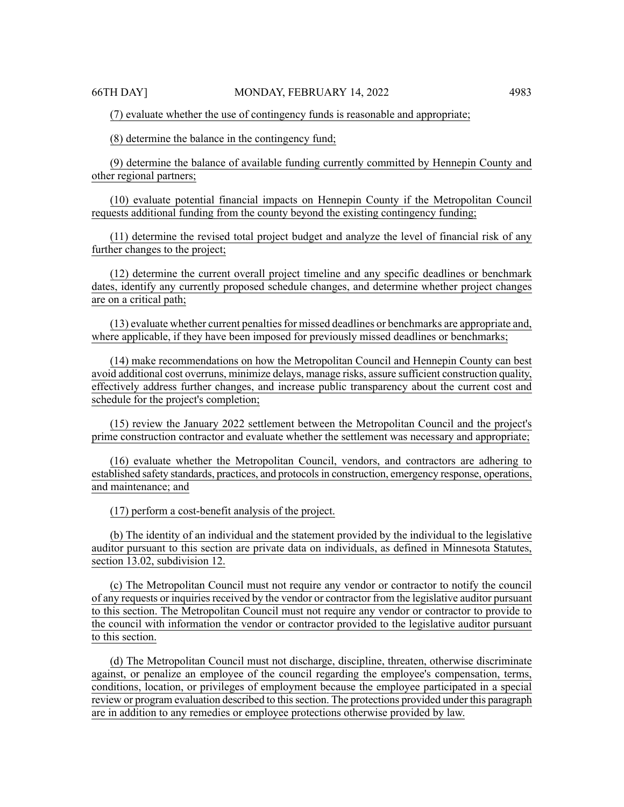(7) evaluate whether the use of contingency funds is reasonable and appropriate;

(8) determine the balance in the contingency fund;

(9) determine the balance of available funding currently committed by Hennepin County and other regional partners;

(10) evaluate potential financial impacts on Hennepin County if the Metropolitan Council requests additional funding from the county beyond the existing contingency funding;

(11) determine the revised total project budget and analyze the level of financial risk of any further changes to the project;

(12) determine the current overall project timeline and any specific deadlines or benchmark dates, identify any currently proposed schedule changes, and determine whether project changes are on a critical path;

(13) evaluate whether current penalties for missed deadlines or benchmarks are appropriate and, where applicable, if they have been imposed for previously missed deadlines or benchmarks;

(14) make recommendations on how the Metropolitan Council and Hennepin County can best avoid additional cost overruns, minimize delays, manage risks, assure sufficient construction quality, effectively address further changes, and increase public transparency about the current cost and schedule for the project's completion;

(15) review the January 2022 settlement between the Metropolitan Council and the project's prime construction contractor and evaluate whether the settlement was necessary and appropriate;

(16) evaluate whether the Metropolitan Council, vendors, and contractors are adhering to established safety standards, practices, and protocolsin construction, emergency response, operations, and maintenance; and

(17) perform a cost-benefit analysis of the project.

(b) The identity of an individual and the statement provided by the individual to the legislative auditor pursuant to this section are private data on individuals, as defined in Minnesota Statutes, section 13.02, subdivision 12.

(c) The Metropolitan Council must not require any vendor or contractor to notify the council of any requests or inquiries received by the vendor or contractor from the legislative auditor pursuant to this section. The Metropolitan Council must not require any vendor or contractor to provide to the council with information the vendor or contractor provided to the legislative auditor pursuant to this section.

(d) The Metropolitan Council must not discharge, discipline, threaten, otherwise discriminate against, or penalize an employee of the council regarding the employee's compensation, terms, conditions, location, or privileges of employment because the employee participated in a special review or program evaluation described to this section. The protections provided under this paragraph are in addition to any remedies or employee protections otherwise provided by law.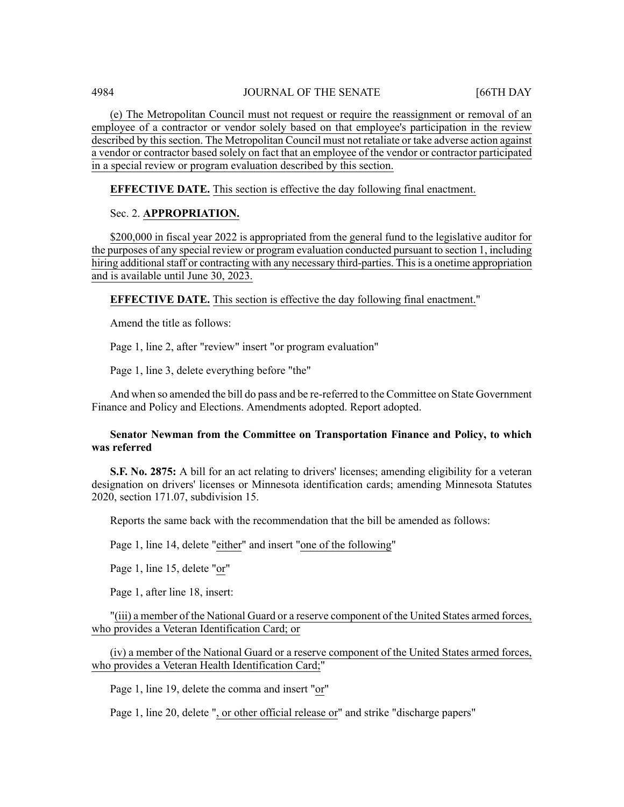(e) The Metropolitan Council must not request or require the reassignment or removal of an employee of a contractor or vendor solely based on that employee's participation in the review described by this section. The Metropolitan Council must not retaliate or take adverse action against a vendor or contractor based solely on fact that an employee of the vendor or contractor participated in a special review or program evaluation described by this section.

**EFFECTIVE DATE.** This section is effective the day following final enactment.

# Sec. 2. **APPROPRIATION.**

\$200,000 in fiscal year 2022 is appropriated from the general fund to the legislative auditor for the purposes of any special review or program evaluation conducted pursuant to section 1, including hiring additional staff or contracting with any necessary third-parties. This is a onetime appropriation and is available until June 30, 2023.

**EFFECTIVE DATE.** This section is effective the day following final enactment."

Amend the title as follows:

Page 1, line 2, after "review" insert "or program evaluation"

Page 1, line 3, delete everything before "the"

And when so amended the bill do pass and be re-referred to the Committee on State Government Finance and Policy and Elections. Amendments adopted. Report adopted.

# **Senator Newman from the Committee on Transportation Finance and Policy, to which was referred**

**S.F. No. 2875:** A bill for an act relating to drivers' licenses; amending eligibility for a veteran designation on drivers' licenses or Minnesota identification cards; amending Minnesota Statutes 2020, section 171.07, subdivision 15.

Reports the same back with the recommendation that the bill be amended as follows:

Page 1, line 14, delete "either" and insert "one of the following"

Page 1, line 15, delete "or"

Page 1, after line 18, insert:

"(iii) a member of the National Guard or a reserve component of the United States armed forces, who provides a Veteran Identification Card; or

(iv) a member of the National Guard or a reserve component of the United States armed forces, who provides a Veteran Health Identification Card;"

Page 1, line 19, delete the comma and insert "or"

Page 1, line 20, delete ", or other official release or" and strike "discharge papers"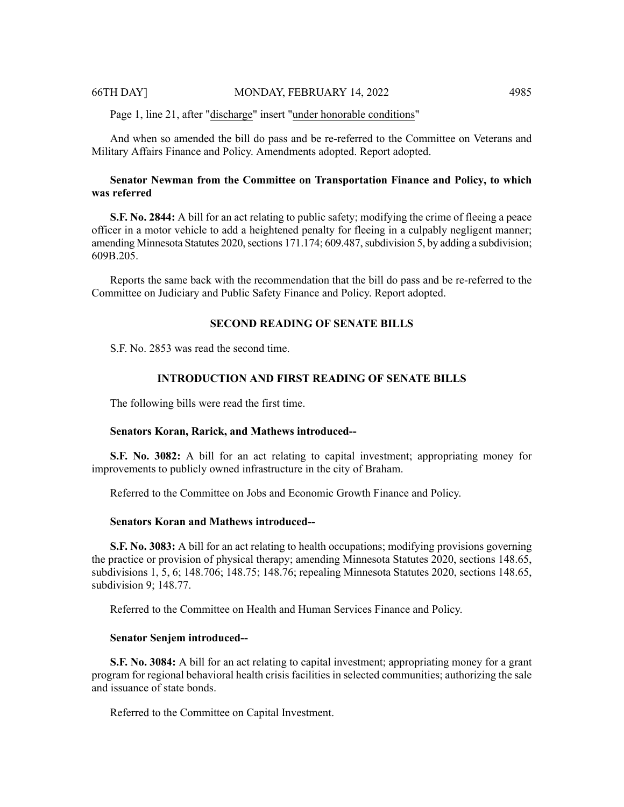Page 1, line 21, after "discharge" insert "under honorable conditions"

And when so amended the bill do pass and be re-referred to the Committee on Veterans and Military Affairs Finance and Policy. Amendments adopted. Report adopted.

# **Senator Newman from the Committee on Transportation Finance and Policy, to which was referred**

**S.F. No. 2844:** A bill for an act relating to public safety; modifying the crime of fleeing a peace officer in a motor vehicle to add a heightened penalty for fleeing in a culpably negligent manner; amending Minnesota Statutes 2020, sections  $171.174$ ; 609.487, subdivision 5, by adding a subdivision; 609B.205.

Reports the same back with the recommendation that the bill do pass and be re-referred to the Committee on Judiciary and Public Safety Finance and Policy. Report adopted.

#### **SECOND READING OF SENATE BILLS**

S.F. No. 2853 was read the second time.

# **INTRODUCTION AND FIRST READING OF SENATE BILLS**

The following bills were read the first time.

#### **Senators Koran, Rarick, and Mathews introduced--**

**S.F. No. 3082:** A bill for an act relating to capital investment; appropriating money for improvements to publicly owned infrastructure in the city of Braham.

Referred to the Committee on Jobs and Economic Growth Finance and Policy.

#### **Senators Koran and Mathews introduced--**

**S.F. No. 3083:** A bill for an act relating to health occupations; modifying provisions governing the practice or provision of physical therapy; amending Minnesota Statutes 2020, sections 148.65, subdivisions 1, 5, 6; 148.706; 148.75; 148.76; repealing Minnesota Statutes 2020, sections 148.65, subdivision 9; 148.77.

Referred to the Committee on Health and Human Services Finance and Policy.

#### **Senator Senjem introduced--**

**S.F. No. 3084:** A bill for an act relating to capital investment; appropriating money for a grant program for regional behavioral health crisis facilities in selected communities; authorizing the sale and issuance of state bonds.

Referred to the Committee on Capital Investment.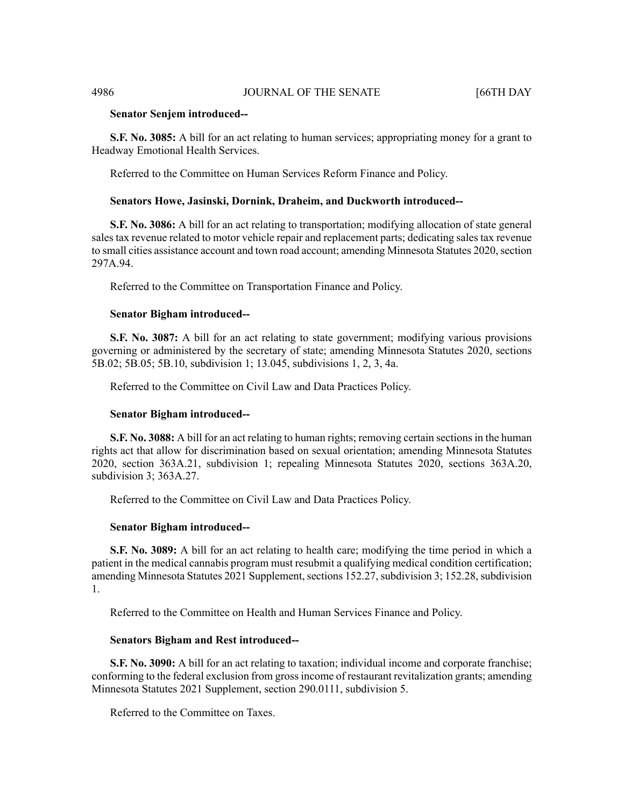#### **Senator Senjem introduced--**

**S.F. No. 3085:** A bill for an act relating to human services; appropriating money for a grant to Headway Emotional Health Services.

Referred to the Committee on Human Services Reform Finance and Policy.

#### **Senators Howe, Jasinski, Dornink, Draheim, and Duckworth introduced--**

**S.F. No. 3086:** A bill for an act relating to transportation; modifying allocation of state general sales tax revenue related to motor vehicle repair and replacement parts; dedicating sales tax revenue to small cities assistance account and town road account; amending Minnesota Statutes 2020, section 297A.94.

Referred to the Committee on Transportation Finance and Policy.

#### **Senator Bigham introduced--**

**S.F. No. 3087:** A bill for an act relating to state government; modifying various provisions governing or administered by the secretary of state; amending Minnesota Statutes 2020, sections 5B.02; 5B.05; 5B.10, subdivision 1; 13.045, subdivisions 1, 2, 3, 4a.

Referred to the Committee on Civil Law and Data Practices Policy.

#### **Senator Bigham introduced--**

**S.F. No. 3088:** A bill for an act relating to human rights; removing certain sections in the human rights act that allow for discrimination based on sexual orientation; amending Minnesota Statutes 2020, section 363A.21, subdivision 1; repealing Minnesota Statutes 2020, sections 363A.20, subdivision 3; 363A.27.

Referred to the Committee on Civil Law and Data Practices Policy.

#### **Senator Bigham introduced--**

**S.F. No. 3089:** A bill for an act relating to health care; modifying the time period in which a patient in the medical cannabis program must resubmit a qualifying medical condition certification; amending Minnesota Statutes 2021 Supplement, sections 152.27, subdivision 3; 152.28, subdivision 1.

Referred to the Committee on Health and Human Services Finance and Policy.

#### **Senators Bigham and Rest introduced--**

**S.F. No. 3090:** A bill for an act relating to taxation; individual income and corporate franchise; conforming to the federal exclusion from grossincome of restaurant revitalization grants; amending Minnesota Statutes 2021 Supplement, section 290.0111, subdivision 5.

Referred to the Committee on Taxes.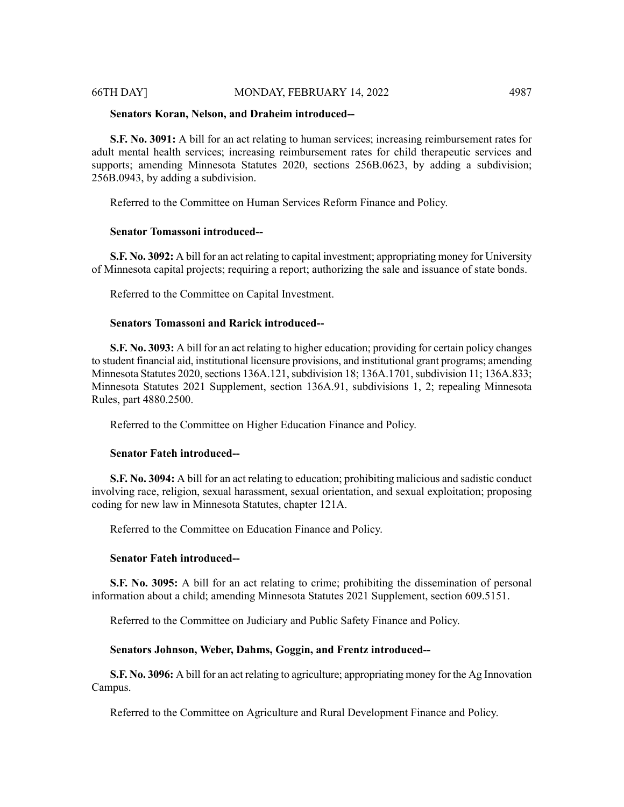**S.F. No. 3091:** A bill for an act relating to human services; increasing reimbursement rates for adult mental health services; increasing reimbursement rates for child therapeutic services and supports; amending Minnesota Statutes 2020, sections 256B.0623, by adding a subdivision; 256B.0943, by adding a subdivision.

Referred to the Committee on Human Services Reform Finance and Policy.

# **Senator Tomassoni introduced--**

**S.F. No. 3092:** A bill for an act relating to capital investment; appropriating money for University of Minnesota capital projects; requiring a report; authorizing the sale and issuance of state bonds.

Referred to the Committee on Capital Investment.

#### **Senators Tomassoni and Rarick introduced--**

**S.F. No. 3093:** A bill for an act relating to higher education; providing for certain policy changes to student financial aid, institutional licensure provisions, and institutional grant programs; amending Minnesota Statutes 2020, sections 136A.121, subdivision 18; 136A.1701, subdivision 11; 136A.833; Minnesota Statutes 2021 Supplement, section 136A.91, subdivisions 1, 2; repealing Minnesota Rules, part 4880.2500.

Referred to the Committee on Higher Education Finance and Policy.

### **Senator Fateh introduced--**

**S.F. No. 3094:** A bill for an act relating to education; prohibiting malicious and sadistic conduct involving race, religion, sexual harassment, sexual orientation, and sexual exploitation; proposing coding for new law in Minnesota Statutes, chapter 121A.

Referred to the Committee on Education Finance and Policy.

#### **Senator Fateh introduced--**

**S.F. No. 3095:** A bill for an act relating to crime; prohibiting the dissemination of personal information about a child; amending Minnesota Statutes 2021 Supplement, section 609.5151.

Referred to the Committee on Judiciary and Public Safety Finance and Policy.

# **Senators Johnson, Weber, Dahms, Goggin, and Frentz introduced--**

**S.F. No. 3096:** A bill for an act relating to agriculture; appropriating money for the Ag Innovation Campus.

Referred to the Committee on Agriculture and Rural Development Finance and Policy.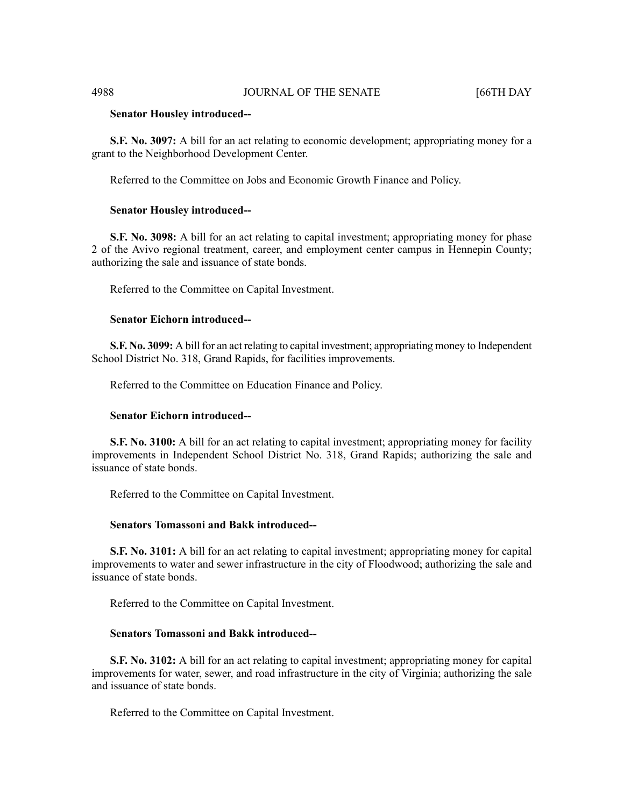#### **Senator Housley introduced--**

**S.F. No. 3097:** A bill for an act relating to economic development; appropriating money for a grant to the Neighborhood Development Center.

Referred to the Committee on Jobs and Economic Growth Finance and Policy.

#### **Senator Housley introduced--**

**S.F. No. 3098:** A bill for an act relating to capital investment; appropriating money for phase 2 of the Avivo regional treatment, career, and employment center campus in Hennepin County; authorizing the sale and issuance of state bonds.

Referred to the Committee on Capital Investment.

### **Senator Eichorn introduced--**

**S.F. No. 3099:** A bill for an act relating to capital investment; appropriating money to Independent School District No. 318, Grand Rapids, for facilities improvements.

Referred to the Committee on Education Finance and Policy.

### **Senator Eichorn introduced--**

**S.F. No. 3100:** A bill for an act relating to capital investment; appropriating money for facility improvements in Independent School District No. 318, Grand Rapids; authorizing the sale and issuance of state bonds.

Referred to the Committee on Capital Investment.

#### **Senators Tomassoni and Bakk introduced--**

**S.F. No. 3101:** A bill for an act relating to capital investment; appropriating money for capital improvements to water and sewer infrastructure in the city of Floodwood; authorizing the sale and issuance of state bonds.

Referred to the Committee on Capital Investment.

# **Senators Tomassoni and Bakk introduced--**

**S.F. No. 3102:** A bill for an act relating to capital investment; appropriating money for capital improvements for water, sewer, and road infrastructure in the city of Virginia; authorizing the sale and issuance of state bonds.

Referred to the Committee on Capital Investment.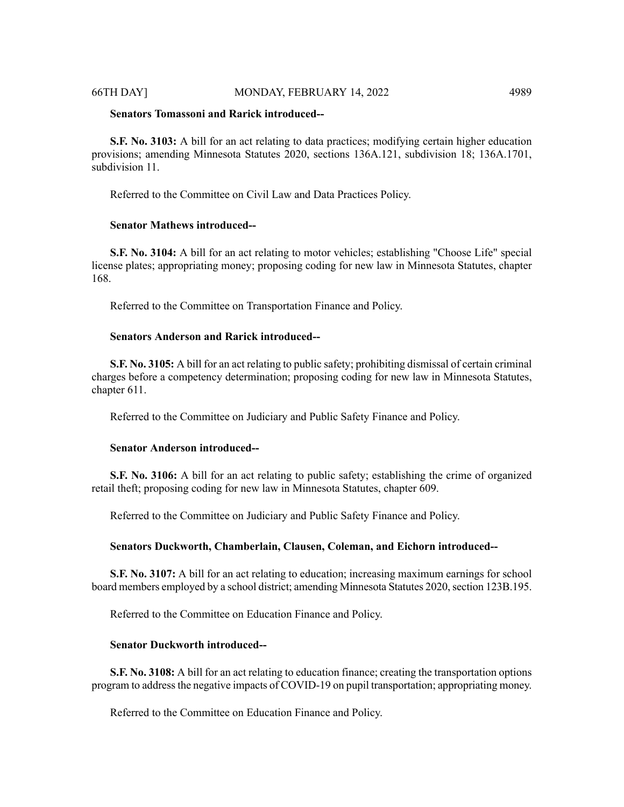#### 66TH DAY] MONDAY, FEBRUARY 14, 2022 4989

# **Senators Tomassoni and Rarick introduced--**

**S.F. No. 3103:** A bill for an act relating to data practices; modifying certain higher education provisions; amending Minnesota Statutes 2020, sections 136A.121, subdivision 18; 136A.1701, subdivision 11.

Referred to the Committee on Civil Law and Data Practices Policy.

# **Senator Mathews introduced--**

**S.F. No. 3104:** A bill for an act relating to motor vehicles; establishing "Choose Life" special license plates; appropriating money; proposing coding for new law in Minnesota Statutes, chapter 168.

Referred to the Committee on Transportation Finance and Policy.

# **Senators Anderson and Rarick introduced--**

**S.F. No. 3105:** A bill for an act relating to public safety; prohibiting dismissal of certain criminal charges before a competency determination; proposing coding for new law in Minnesota Statutes, chapter 611.

Referred to the Committee on Judiciary and Public Safety Finance and Policy.

#### **Senator Anderson introduced--**

**S.F. No. 3106:** A bill for an act relating to public safety; establishing the crime of organized retail theft; proposing coding for new law in Minnesota Statutes, chapter 609.

Referred to the Committee on Judiciary and Public Safety Finance and Policy.

#### **Senators Duckworth, Chamberlain, Clausen, Coleman, and Eichorn introduced--**

**S.F. No. 3107:** A bill for an act relating to education; increasing maximum earnings for school board members employed by a school district; amending Minnesota Statutes 2020, section 123B.195.

Referred to the Committee on Education Finance and Policy.

# **Senator Duckworth introduced--**

**S.F. No. 3108:** A bill for an act relating to education finance; creating the transportation options program to addressthe negative impacts of COVID-19 on pupil transportation; appropriating money.

Referred to the Committee on Education Finance and Policy.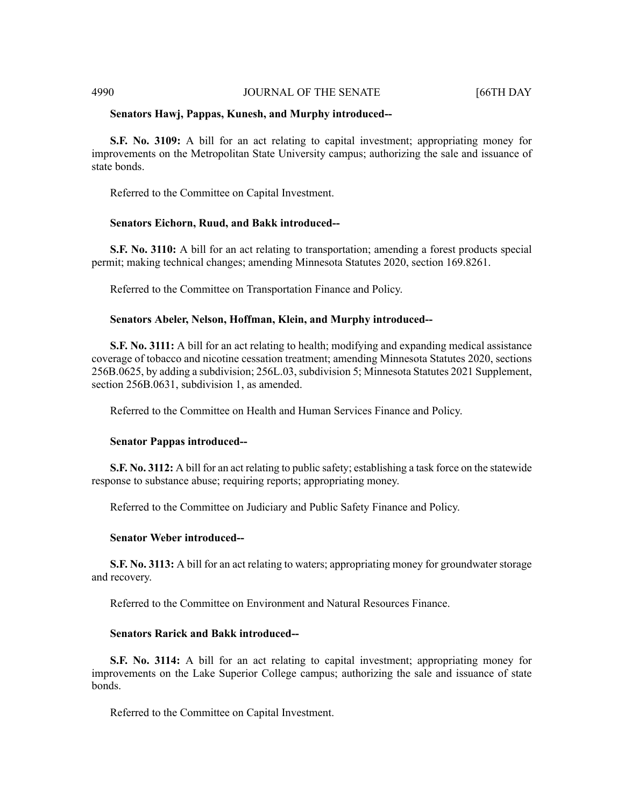#### 4990 JOURNAL OF THE SENATE [66TH DAY

#### **Senators Hawj, Pappas, Kunesh, and Murphy introduced--**

**S.F. No. 3109:** A bill for an act relating to capital investment; appropriating money for improvements on the Metropolitan State University campus; authorizing the sale and issuance of state bonds.

Referred to the Committee on Capital Investment.

#### **Senators Eichorn, Ruud, and Bakk introduced--**

**S.F. No. 3110:** A bill for an act relating to transportation; amending a forest products special permit; making technical changes; amending Minnesota Statutes 2020, section 169.8261.

Referred to the Committee on Transportation Finance and Policy.

### **Senators Abeler, Nelson, Hoffman, Klein, and Murphy introduced--**

**S.F. No. 3111:** A bill for an act relating to health; modifying and expanding medical assistance coverage of tobacco and nicotine cessation treatment; amending Minnesota Statutes 2020, sections 256B.0625, by adding a subdivision; 256L.03, subdivision 5; Minnesota Statutes 2021 Supplement, section 256B.0631, subdivision 1, as amended.

Referred to the Committee on Health and Human Services Finance and Policy.

#### **Senator Pappas introduced--**

**S.F. No. 3112:** A bill for an act relating to public safety; establishing a task force on the statewide response to substance abuse; requiring reports; appropriating money.

Referred to the Committee on Judiciary and Public Safety Finance and Policy.

#### **Senator Weber introduced--**

**S.F. No. 3113:** A bill for an act relating to waters; appropriating money for groundwater storage and recovery.

Referred to the Committee on Environment and Natural Resources Finance.

# **Senators Rarick and Bakk introduced--**

**S.F. No. 3114:** A bill for an act relating to capital investment; appropriating money for improvements on the Lake Superior College campus; authorizing the sale and issuance of state bonds.

Referred to the Committee on Capital Investment.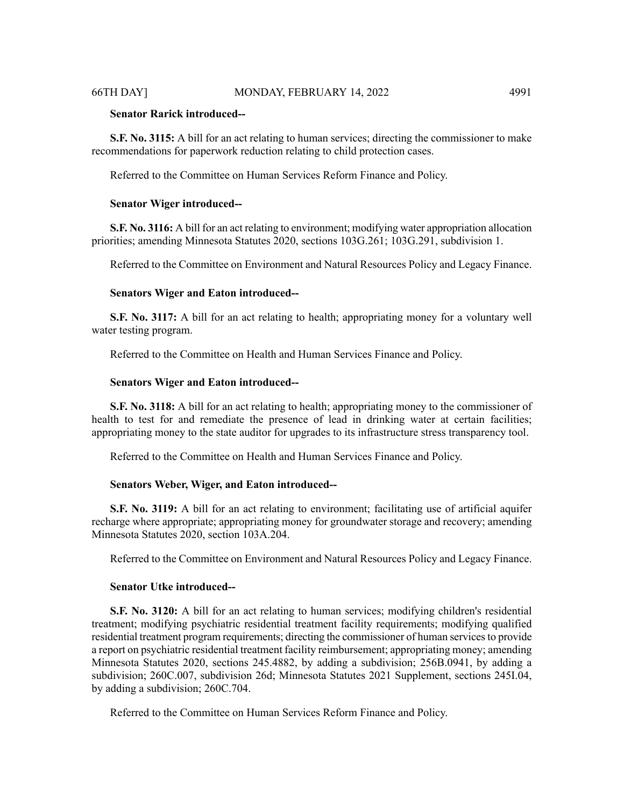# **Senator Rarick introduced--**

**S.F. No. 3115:** A bill for an act relating to human services; directing the commissioner to make recommendations for paperwork reduction relating to child protection cases.

Referred to the Committee on Human Services Reform Finance and Policy.

#### **Senator Wiger introduced--**

**S.F. No. 3116:** A bill for an act relating to environment; modifying water appropriation allocation priorities; amending Minnesota Statutes 2020, sections 103G.261; 103G.291, subdivision 1.

Referred to the Committee on Environment and Natural Resources Policy and Legacy Finance.

#### **Senators Wiger and Eaton introduced--**

**S.F. No. 3117:** A bill for an act relating to health; appropriating money for a voluntary well water testing program.

Referred to the Committee on Health and Human Services Finance and Policy.

#### **Senators Wiger and Eaton introduced--**

**S.F. No. 3118:** A bill for an act relating to health; appropriating money to the commissioner of health to test for and remediate the presence of lead in drinking water at certain facilities; appropriating money to the state auditor for upgrades to its infrastructure stress transparency tool.

Referred to the Committee on Health and Human Services Finance and Policy.

# **Senators Weber, Wiger, and Eaton introduced--**

**S.F. No. 3119:** A bill for an act relating to environment; facilitating use of artificial aquifer recharge where appropriate; appropriating money for groundwater storage and recovery; amending Minnesota Statutes 2020, section 103A.204.

Referred to the Committee on Environment and Natural Resources Policy and Legacy Finance.

#### **Senator Utke introduced--**

**S.F. No. 3120:** A bill for an act relating to human services; modifying children's residential treatment; modifying psychiatric residential treatment facility requirements; modifying qualified residential treatment program requirements; directing the commissioner of human servicesto provide a report on psychiatric residential treatment facility reimbursement; appropriating money; amending Minnesota Statutes 2020, sections 245.4882, by adding a subdivision; 256B.0941, by adding a subdivision; 260C.007, subdivision 26d; Minnesota Statutes 2021 Supplement, sections 245I.04, by adding a subdivision; 260C.704.

Referred to the Committee on Human Services Reform Finance and Policy.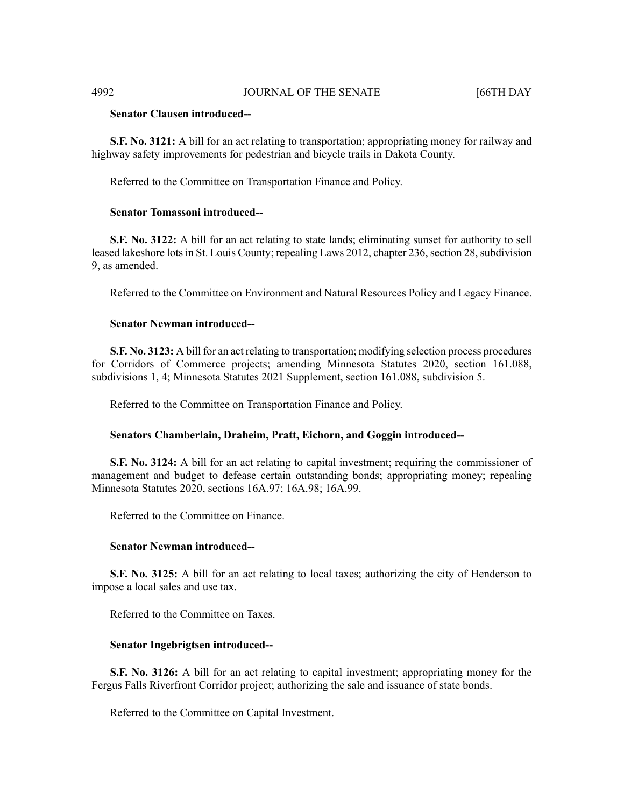# **Senator Clausen introduced--**

**S.F. No. 3121:** A bill for an act relating to transportation; appropriating money for railway and highway safety improvements for pedestrian and bicycle trails in Dakota County.

Referred to the Committee on Transportation Finance and Policy.

#### **Senator Tomassoni introduced--**

**S.F. No. 3122:** A bill for an act relating to state lands; eliminating sunset for authority to sell leased lakeshore lots in St. Louis County; repealing Laws 2012, chapter 236, section 28, subdivision 9, as amended.

Referred to the Committee on Environment and Natural Resources Policy and Legacy Finance.

#### **Senator Newman introduced--**

**S.F. No. 3123:** A bill for an act relating to transportation; modifying selection process procedures for Corridors of Commerce projects; amending Minnesota Statutes 2020, section 161.088, subdivisions 1, 4; Minnesota Statutes 2021 Supplement, section 161.088, subdivision 5.

Referred to the Committee on Transportation Finance and Policy.

#### **Senators Chamberlain, Draheim, Pratt, Eichorn, and Goggin introduced--**

**S.F. No. 3124:** A bill for an act relating to capital investment; requiring the commissioner of management and budget to defease certain outstanding bonds; appropriating money; repealing Minnesota Statutes 2020, sections 16A.97; 16A.98; 16A.99.

Referred to the Committee on Finance.

#### **Senator Newman introduced--**

**S.F. No. 3125:** A bill for an act relating to local taxes; authorizing the city of Henderson to impose a local sales and use tax.

Referred to the Committee on Taxes.

#### **Senator Ingebrigtsen introduced--**

**S.F. No. 3126:** A bill for an act relating to capital investment; appropriating money for the Fergus Falls Riverfront Corridor project; authorizing the sale and issuance of state bonds.

Referred to the Committee on Capital Investment.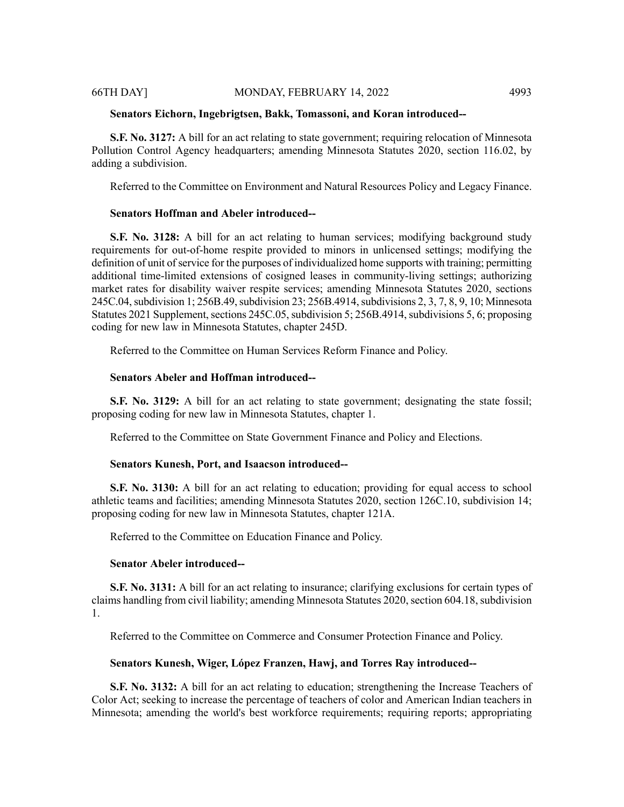#### **Senators Eichorn, Ingebrigtsen, Bakk, Tomassoni, and Koran introduced--**

**S.F. No. 3127:** A bill for an act relating to state government; requiring relocation of Minnesota Pollution Control Agency headquarters; amending Minnesota Statutes 2020, section 116.02, by adding a subdivision.

Referred to the Committee on Environment and Natural Resources Policy and Legacy Finance.

# **Senators Hoffman and Abeler introduced--**

**S.F. No. 3128:** A bill for an act relating to human services; modifying background study requirements for out-of-home respite provided to minors in unlicensed settings; modifying the definition of unit of service for the purposes of individualized home supports with training; permitting additional time-limited extensions of cosigned leases in community-living settings; authorizing market rates for disability waiver respite services; amending Minnesota Statutes 2020, sections 245C.04, subdivision 1; 256B.49, subdivision 23; 256B.4914, subdivisions 2, 3, 7, 8, 9, 10; Minnesota Statutes 2021 Supplement, sections 245C.05, subdivision 5; 256B.4914, subdivisions 5, 6; proposing coding for new law in Minnesota Statutes, chapter 245D.

Referred to the Committee on Human Services Reform Finance and Policy.

# **Senators Abeler and Hoffman introduced--**

**S.F. No. 3129:** A bill for an act relating to state government; designating the state fossil; proposing coding for new law in Minnesota Statutes, chapter 1.

Referred to the Committee on State Government Finance and Policy and Elections.

#### **Senators Kunesh, Port, and Isaacson introduced--**

**S.F. No. 3130:** A bill for an act relating to education; providing for equal access to school athletic teams and facilities; amending Minnesota Statutes 2020, section 126C.10, subdivision 14; proposing coding for new law in Minnesota Statutes, chapter 121A.

Referred to the Committee on Education Finance and Policy.

#### **Senator Abeler introduced--**

**S.F. No. 3131:** A bill for an act relating to insurance; clarifying exclusions for certain types of claims handling from civil liability; amending Minnesota Statutes 2020, section 604.18, subdivision 1.

Referred to the Committee on Commerce and Consumer Protection Finance and Policy.

#### **Senators Kunesh, Wiger, López Franzen, Hawj, and Torres Ray introduced--**

**S.F. No. 3132:** A bill for an act relating to education; strengthening the Increase Teachers of Color Act; seeking to increase the percentage of teachers of color and American Indian teachers in Minnesota; amending the world's best workforce requirements; requiring reports; appropriating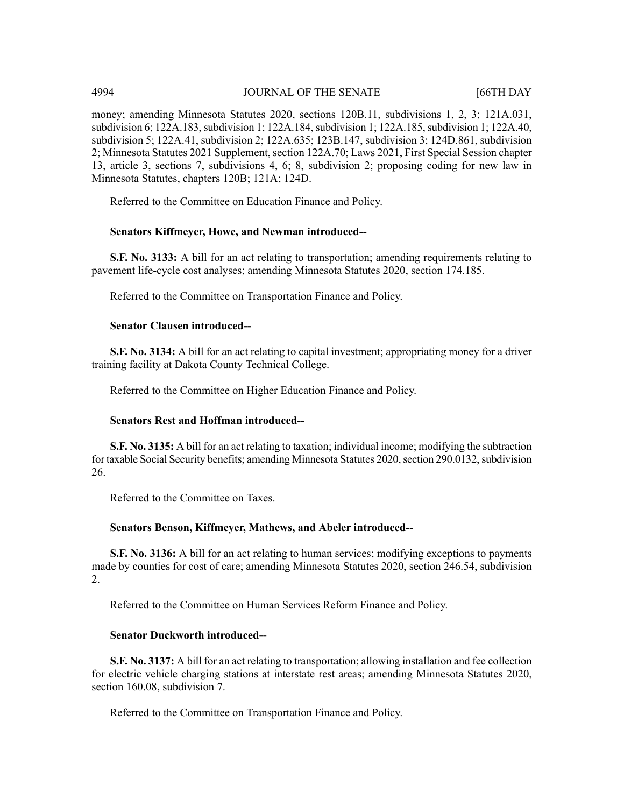money; amending Minnesota Statutes 2020, sections 120B.11, subdivisions 1, 2, 3; 121A.031, subdivision 6; 122A.183, subdivision 1; 122A.184, subdivision 1; 122A.185, subdivision 1; 122A.40, subdivision 5; 122A.41, subdivision 2; 122A.635; 123B.147, subdivision 3; 124D.861, subdivision 2; Minnesota Statutes 2021 Supplement, section 122A.70; Laws 2021, First Special Session chapter 13, article 3, sections 7, subdivisions 4, 6; 8, subdivision 2; proposing coding for new law in Minnesota Statutes, chapters 120B; 121A; 124D.

Referred to the Committee on Education Finance and Policy.

# **Senators Kiffmeyer, Howe, and Newman introduced--**

**S.F. No. 3133:** A bill for an act relating to transportation; amending requirements relating to pavement life-cycle cost analyses; amending Minnesota Statutes 2020, section 174.185.

Referred to the Committee on Transportation Finance and Policy.

# **Senator Clausen introduced--**

**S.F. No. 3134:** A bill for an act relating to capital investment; appropriating money for a driver training facility at Dakota County Technical College.

Referred to the Committee on Higher Education Finance and Policy.

# **Senators Rest and Hoffman introduced--**

**S.F. No. 3135:** A bill for an act relating to taxation; individual income; modifying the subtraction for taxable Social Security benefits; amending Minnesota Statutes 2020, section 290.0132, subdivision 26.

Referred to the Committee on Taxes.

# **Senators Benson, Kiffmeyer, Mathews, and Abeler introduced--**

**S.F. No. 3136:** A bill for an act relating to human services; modifying exceptions to payments made by counties for cost of care; amending Minnesota Statutes 2020, section 246.54, subdivision 2.

Referred to the Committee on Human Services Reform Finance and Policy.

# **Senator Duckworth introduced--**

**S.F. No. 3137:** A bill for an act relating to transportation; allowing installation and fee collection for electric vehicle charging stations at interstate rest areas; amending Minnesota Statutes 2020, section 160.08, subdivision 7.

Referred to the Committee on Transportation Finance and Policy.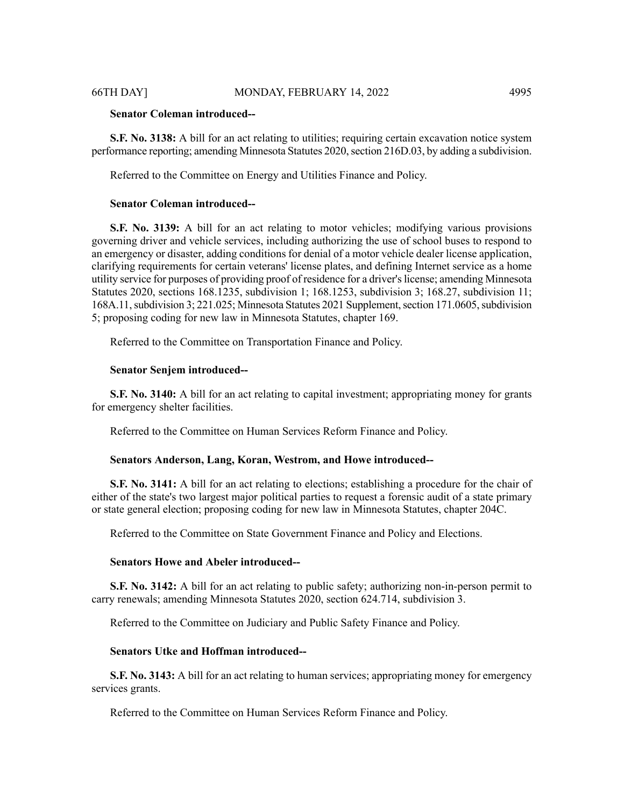# **Senator Coleman introduced--**

**S.F. No. 3138:** A bill for an act relating to utilities; requiring certain excavation notice system performance reporting; amending Minnesota Statutes 2020, section 216D.03, by adding a subdivision.

Referred to the Committee on Energy and Utilities Finance and Policy.

## **Senator Coleman introduced--**

**S.F. No. 3139:** A bill for an act relating to motor vehicles; modifying various provisions governing driver and vehicle services, including authorizing the use of school buses to respond to an emergency or disaster, adding conditions for denial of a motor vehicle dealer license application, clarifying requirements for certain veterans' license plates, and defining Internet service as a home utility service for purposes of providing proof of residence for a driver'slicense; amending Minnesota Statutes 2020, sections 168.1235, subdivision 1; 168.1253, subdivision 3; 168.27, subdivision 11; 168A.11, subdivision 3; 221.025; Minnesota Statutes 2021 Supplement, section 171.0605, subdivision 5; proposing coding for new law in Minnesota Statutes, chapter 169.

Referred to the Committee on Transportation Finance and Policy.

#### **Senator Senjem introduced--**

**S.F. No. 3140:** A bill for an act relating to capital investment; appropriating money for grants for emergency shelter facilities.

Referred to the Committee on Human Services Reform Finance and Policy.

#### **Senators Anderson, Lang, Koran, Westrom, and Howe introduced--**

**S.F. No. 3141:** A bill for an act relating to elections; establishing a procedure for the chair of either of the state's two largest major political parties to request a forensic audit of a state primary or state general election; proposing coding for new law in Minnesota Statutes, chapter 204C.

Referred to the Committee on State Government Finance and Policy and Elections.

# **Senators Howe and Abeler introduced--**

**S.F. No. 3142:** A bill for an act relating to public safety; authorizing non-in-person permit to carry renewals; amending Minnesota Statutes 2020, section 624.714, subdivision 3.

Referred to the Committee on Judiciary and Public Safety Finance and Policy.

# **Senators Utke and Hoffman introduced--**

**S.F. No. 3143:** A bill for an act relating to human services; appropriating money for emergency services grants.

Referred to the Committee on Human Services Reform Finance and Policy.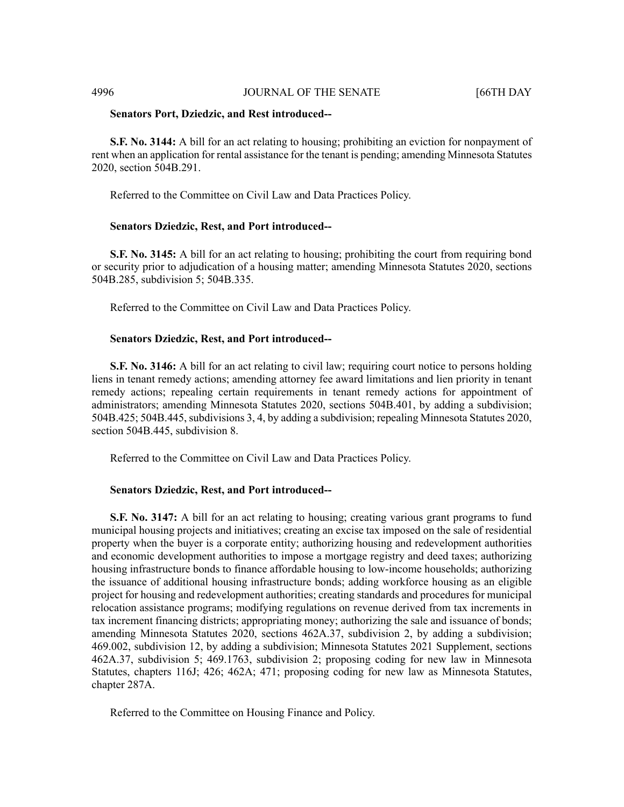### 4996 **JOURNAL OF THE SENATE** [66TH DAY

#### **Senators Port, Dziedzic, and Rest introduced--**

**S.F. No. 3144:** A bill for an act relating to housing; prohibiting an eviction for nonpayment of rent when an application for rental assistance for the tenant is pending; amending Minnesota Statutes 2020, section 504B.291.

Referred to the Committee on Civil Law and Data Practices Policy.

#### **Senators Dziedzic, Rest, and Port introduced--**

**S.F. No. 3145:** A bill for an act relating to housing; prohibiting the court from requiring bond or security prior to adjudication of a housing matter; amending Minnesota Statutes 2020, sections 504B.285, subdivision 5; 504B.335.

Referred to the Committee on Civil Law and Data Practices Policy.

#### **Senators Dziedzic, Rest, and Port introduced--**

**S.F. No. 3146:** A bill for an act relating to civil law; requiring court notice to persons holding liens in tenant remedy actions; amending attorney fee award limitations and lien priority in tenant remedy actions; repealing certain requirements in tenant remedy actions for appointment of administrators; amending Minnesota Statutes 2020, sections 504B.401, by adding a subdivision; 504B.425; 504B.445, subdivisions 3, 4, by adding a subdivision; repealing Minnesota Statutes 2020, section 504B.445, subdivision 8.

Referred to the Committee on Civil Law and Data Practices Policy.

### **Senators Dziedzic, Rest, and Port introduced--**

**S.F. No. 3147:** A bill for an act relating to housing; creating various grant programs to fund municipal housing projects and initiatives; creating an excise tax imposed on the sale of residential property when the buyer is a corporate entity; authorizing housing and redevelopment authorities and economic development authorities to impose a mortgage registry and deed taxes; authorizing housing infrastructure bonds to finance affordable housing to low-income households; authorizing the issuance of additional housing infrastructure bonds; adding workforce housing as an eligible project for housing and redevelopment authorities; creating standards and procedures for municipal relocation assistance programs; modifying regulations on revenue derived from tax increments in tax increment financing districts; appropriating money; authorizing the sale and issuance of bonds; amending Minnesota Statutes 2020, sections 462A.37, subdivision 2, by adding a subdivision; 469.002, subdivision 12, by adding a subdivision; Minnesota Statutes 2021 Supplement, sections 462A.37, subdivision 5; 469.1763, subdivision 2; proposing coding for new law in Minnesota Statutes, chapters 116J; 426; 462A; 471; proposing coding for new law as Minnesota Statutes, chapter 287A.

Referred to the Committee on Housing Finance and Policy.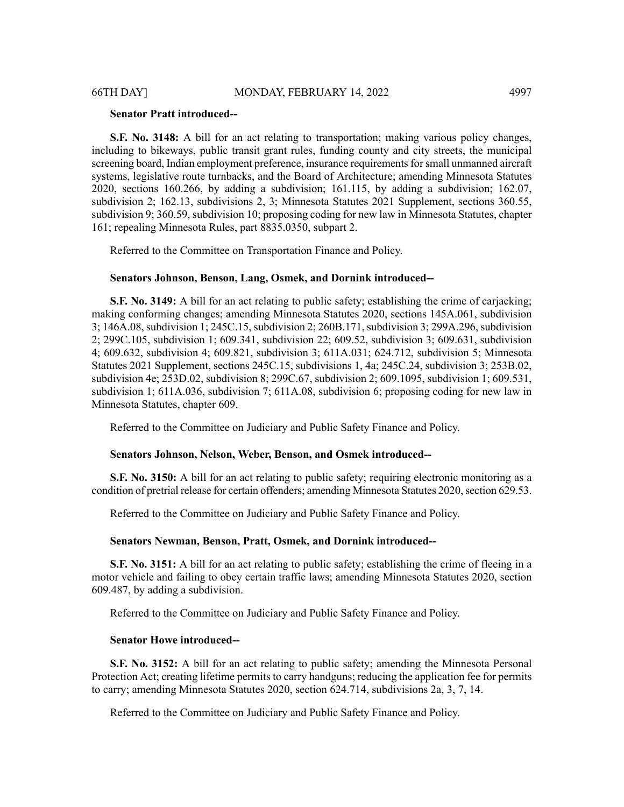#### **Senator Pratt introduced--**

**S.F. No. 3148:** A bill for an act relating to transportation; making various policy changes, including to bikeways, public transit grant rules, funding county and city streets, the municipal screening board, Indian employment preference, insurance requirements for small unmanned aircraft systems, legislative route turnbacks, and the Board of Architecture; amending Minnesota Statutes 2020, sections 160.266, by adding a subdivision; 161.115, by adding a subdivision; 162.07, subdivision 2; 162.13, subdivisions 2, 3; Minnesota Statutes 2021 Supplement, sections 360.55, subdivision 9; 360.59, subdivision 10; proposing coding for new law in Minnesota Statutes, chapter 161; repealing Minnesota Rules, part 8835.0350, subpart 2.

Referred to the Committee on Transportation Finance and Policy.

#### **Senators Johnson, Benson, Lang, Osmek, and Dornink introduced--**

**S.F. No. 3149:** A bill for an act relating to public safety; establishing the crime of carjacking; making conforming changes; amending Minnesota Statutes 2020, sections 145A.061, subdivision 3; 146A.08, subdivision 1; 245C.15, subdivision 2; 260B.171, subdivision 3; 299A.296, subdivision 2; 299C.105, subdivision 1; 609.341, subdivision 22; 609.52, subdivision 3; 609.631, subdivision 4; 609.632, subdivision 4; 609.821, subdivision 3; 611A.031; 624.712, subdivision 5; Minnesota Statutes 2021 Supplement, sections 245C.15, subdivisions 1, 4a; 245C.24, subdivision 3; 253B.02, subdivision 4e; 253D.02, subdivision 8; 299C.67, subdivision 2; 609.1095, subdivision 1; 609.531, subdivision 1; 611A.036, subdivision 7; 611A.08, subdivision 6; proposing coding for new law in Minnesota Statutes, chapter 609.

Referred to the Committee on Judiciary and Public Safety Finance and Policy.

#### **Senators Johnson, Nelson, Weber, Benson, and Osmek introduced--**

**S.F. No. 3150:** A bill for an act relating to public safety; requiring electronic monitoring as a condition of pretrial release for certain offenders; amending Minnesota Statutes 2020, section 629.53.

Referred to the Committee on Judiciary and Public Safety Finance and Policy.

#### **Senators Newman, Benson, Pratt, Osmek, and Dornink introduced--**

**S.F. No. 3151:** A bill for an act relating to public safety; establishing the crime of fleeing in a motor vehicle and failing to obey certain traffic laws; amending Minnesota Statutes 2020, section 609.487, by adding a subdivision.

Referred to the Committee on Judiciary and Public Safety Finance and Policy.

#### **Senator Howe introduced--**

**S.F. No. 3152:** A bill for an act relating to public safety; amending the Minnesota Personal Protection Act; creating lifetime permits to carry handguns; reducing the application fee for permits to carry; amending Minnesota Statutes 2020, section 624.714, subdivisions 2a, 3, 7, 14.

Referred to the Committee on Judiciary and Public Safety Finance and Policy.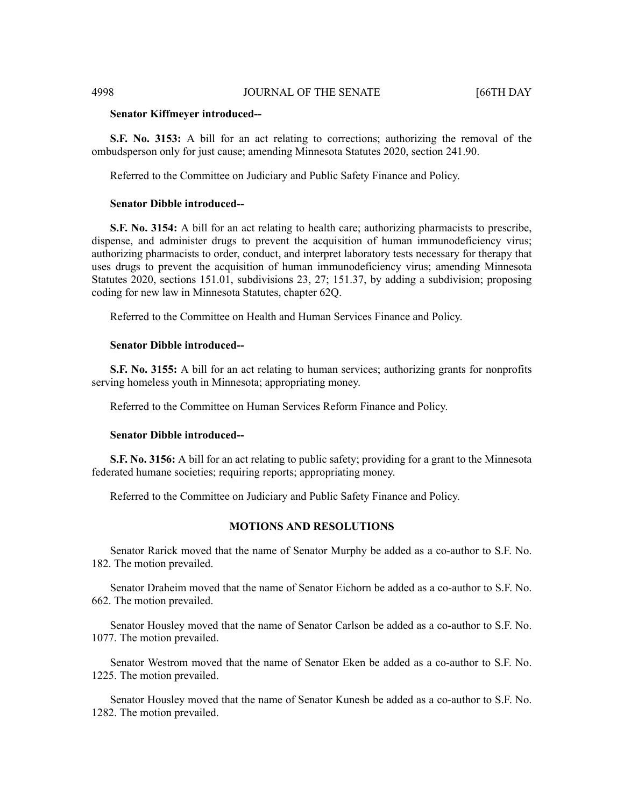#### **Senator Kiffmeyer introduced--**

**S.F. No. 3153:** A bill for an act relating to corrections; authorizing the removal of the ombudsperson only for just cause; amending Minnesota Statutes 2020, section 241.90.

Referred to the Committee on Judiciary and Public Safety Finance and Policy.

## **Senator Dibble introduced--**

**S.F. No. 3154:** A bill for an act relating to health care; authorizing pharmacists to prescribe, dispense, and administer drugs to prevent the acquisition of human immunodeficiency virus; authorizing pharmacists to order, conduct, and interpret laboratory tests necessary for therapy that uses drugs to prevent the acquisition of human immunodeficiency virus; amending Minnesota Statutes 2020, sections 151.01, subdivisions 23, 27; 151.37, by adding a subdivision; proposing coding for new law in Minnesota Statutes, chapter 62Q.

Referred to the Committee on Health and Human Services Finance and Policy.

#### **Senator Dibble introduced--**

**S.F. No. 3155:** A bill for an act relating to human services; authorizing grants for nonprofits serving homeless youth in Minnesota; appropriating money.

Referred to the Committee on Human Services Reform Finance and Policy.

# **Senator Dibble introduced--**

**S.F. No. 3156:** A bill for an act relating to public safety; providing for a grant to the Minnesota federated humane societies; requiring reports; appropriating money.

Referred to the Committee on Judiciary and Public Safety Finance and Policy.

# **MOTIONS AND RESOLUTIONS**

Senator Rarick moved that the name of Senator Murphy be added as a co-author to S.F. No. 182. The motion prevailed.

Senator Draheim moved that the name of Senator Eichorn be added as a co-author to S.F. No. 662. The motion prevailed.

Senator Housley moved that the name of Senator Carlson be added as a co-author to S.F. No. 1077. The motion prevailed.

Senator Westrom moved that the name of Senator Eken be added as a co-author to S.F. No. 1225. The motion prevailed.

Senator Housley moved that the name of Senator Kunesh be added as a co-author to S.F. No. 1282. The motion prevailed.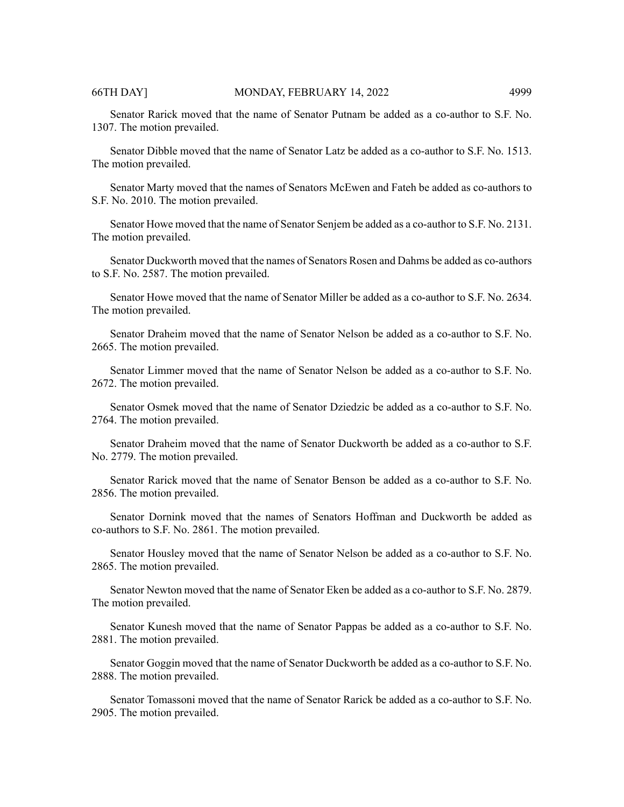Senator Rarick moved that the name of Senator Putnam be added as a co-author to S.F. No. 1307. The motion prevailed.

Senator Dibble moved that the name of Senator Latz be added as a co-author to S.F. No. 1513. The motion prevailed.

Senator Marty moved that the names of Senators McEwen and Fateh be added as co-authors to S.F. No. 2010. The motion prevailed.

Senator Howe moved that the name of Senator Senjem be added as a co-author to S.F. No. 2131. The motion prevailed.

Senator Duckworth moved that the names of Senators Rosen and Dahms be added as co-authors to S.F. No. 2587. The motion prevailed.

Senator Howe moved that the name of Senator Miller be added as a co-author to S.F. No. 2634. The motion prevailed.

Senator Draheim moved that the name of Senator Nelson be added as a co-author to S.F. No. 2665. The motion prevailed.

Senator Limmer moved that the name of Senator Nelson be added as a co-author to S.F. No. 2672. The motion prevailed.

Senator Osmek moved that the name of Senator Dziedzic be added as a co-author to S.F. No. 2764. The motion prevailed.

Senator Draheim moved that the name of Senator Duckworth be added as a co-author to S.F. No. 2779. The motion prevailed.

Senator Rarick moved that the name of Senator Benson be added as a co-author to S.F. No. 2856. The motion prevailed.

Senator Dornink moved that the names of Senators Hoffman and Duckworth be added as co-authors to S.F. No. 2861. The motion prevailed.

Senator Housley moved that the name of Senator Nelson be added as a co-author to S.F. No. 2865. The motion prevailed.

Senator Newton moved that the name of Senator Eken be added as a co-author to S.F. No. 2879. The motion prevailed.

Senator Kunesh moved that the name of Senator Pappas be added as a co-author to S.F. No. 2881. The motion prevailed.

Senator Goggin moved that the name of Senator Duckworth be added as a co-author to S.F. No. 2888. The motion prevailed.

Senator Tomassoni moved that the name of Senator Rarick be added as a co-author to S.F. No. 2905. The motion prevailed.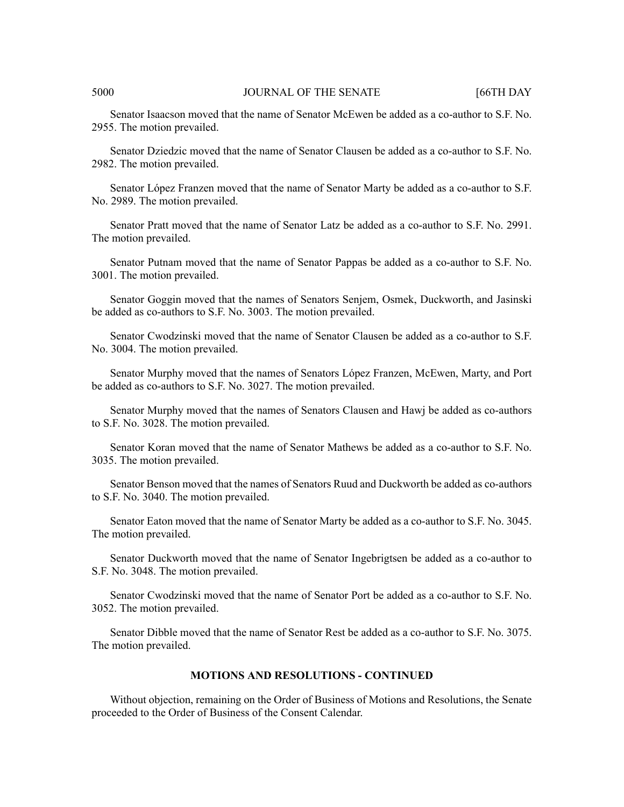#### 5000 JOURNAL OF THE SENATE [66TH DAY

Senator Isaacson moved that the name of Senator McEwen be added as a co-author to S.F. No. 2955. The motion prevailed.

Senator Dziedzic moved that the name of Senator Clausen be added as a co-author to S.F. No. 2982. The motion prevailed.

Senator López Franzen moved that the name of Senator Marty be added as a co-author to S.F. No. 2989. The motion prevailed.

Senator Pratt moved that the name of Senator Latz be added as a co-author to S.F. No. 2991. The motion prevailed.

Senator Putnam moved that the name of Senator Pappas be added as a co-author to S.F. No. 3001. The motion prevailed.

Senator Goggin moved that the names of Senators Senjem, Osmek, Duckworth, and Jasinski be added as co-authors to S.F. No. 3003. The motion prevailed.

Senator Cwodzinski moved that the name of Senator Clausen be added as a co-author to S.F. No. 3004. The motion prevailed.

Senator Murphy moved that the names of Senators López Franzen, McEwen, Marty, and Port be added as co-authors to S.F. No. 3027. The motion prevailed.

Senator Murphy moved that the names of Senators Clausen and Hawj be added as co-authors to S.F. No. 3028. The motion prevailed.

Senator Koran moved that the name of Senator Mathews be added as a co-author to S.F. No. 3035. The motion prevailed.

Senator Benson moved that the names of Senators Ruud and Duckworth be added as co-authors to S.F. No. 3040. The motion prevailed.

Senator Eaton moved that the name of Senator Marty be added as a co-author to S.F. No. 3045. The motion prevailed.

Senator Duckworth moved that the name of Senator Ingebrigtsen be added as a co-author to S.F. No. 3048. The motion prevailed.

Senator Cwodzinski moved that the name of Senator Port be added as a co-author to S.F. No. 3052. The motion prevailed.

Senator Dibble moved that the name of Senator Rest be added as a co-author to S.F. No. 3075. The motion prevailed.

#### **MOTIONS AND RESOLUTIONS - CONTINUED**

Without objection, remaining on the Order of Business of Motions and Resolutions, the Senate proceeded to the Order of Business of the Consent Calendar.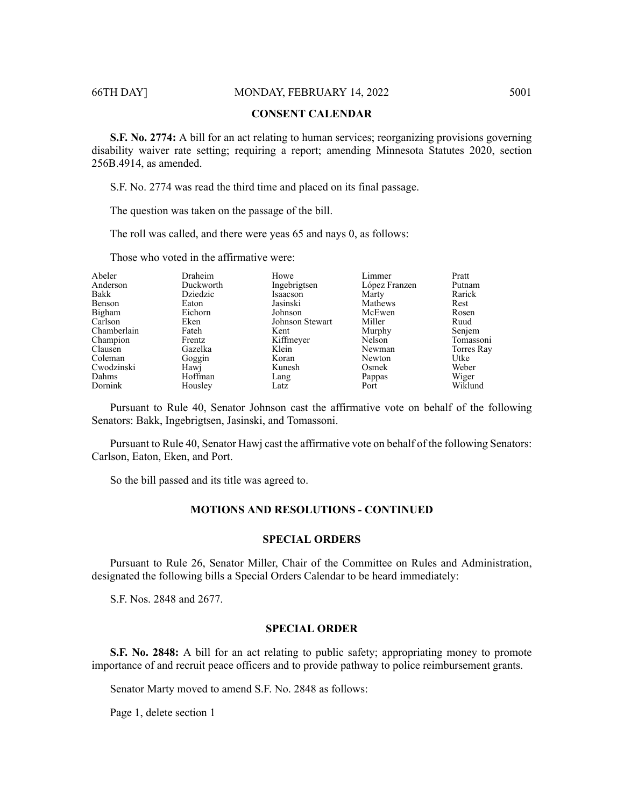# **CONSENT CALENDAR**

**S.F. No. 2774:** A bill for an act relating to human services; reorganizing provisions governing disability waiver rate setting; requiring a report; amending Minnesota Statutes 2020, section 256B.4914, as amended.

S.F. No. 2774 was read the third time and placed on its final passage.

The question was taken on the passage of the bill.

The roll was called, and there were yeas 65 and nays 0, as follows:

Those who voted in the affirmative were:

| Abeler      | Draheim   | Howe            | Limmer        | Pratt      |
|-------------|-----------|-----------------|---------------|------------|
| Anderson    | Duckworth | Ingebrigtsen    | López Franzen | Putnam     |
| Bakk        | Dziedzic  | Isaacson        | Marty         | Rarick     |
| Benson      | Eaton     | Jasinski        | Mathews       | Rest       |
| Bigham      | Eichorn   | Johnson         | McEwen        | Rosen      |
| Carlson     | Eken      | Johnson Stewart | Miller        | Ruud       |
| Chamberlain | Fateh     | Kent            | Murphy        | Senjem     |
| Champion    | Frentz    | Kiffmeyer       | Nelson        | Tomassoni  |
| Clausen     | Gazelka   | Klein           | Newman        | Torres Ray |
| Coleman     | Goggin    | Koran           | Newton        | Utke       |
| Cwodzinski  | Hawj      | Kunesh          | Osmek         | Weber      |
| Dahms       | Hoffman   | Lang            | Pappas        | Wiger      |
| Dornink     | Housley   | Latz            | Port          | Wiklund    |
|             |           |                 |               |            |

Pursuant to Rule 40, Senator Johnson cast the affirmative vote on behalf of the following Senators: Bakk, Ingebrigtsen, Jasinski, and Tomassoni.

Pursuant to Rule 40, Senator Hawj cast the affirmative vote on behalf of the following Senators: Carlson, Eaton, Eken, and Port.

So the bill passed and its title was agreed to.

# **MOTIONS AND RESOLUTIONS - CONTINUED**

### **SPECIAL ORDERS**

Pursuant to Rule 26, Senator Miller, Chair of the Committee on Rules and Administration, designated the following bills a Special Orders Calendar to be heard immediately:

S.F. Nos. 2848 and 2677.

### **SPECIAL ORDER**

**S.F. No. 2848:** A bill for an act relating to public safety; appropriating money to promote importance of and recruit peace officers and to provide pathway to police reimbursement grants.

Senator Marty moved to amend S.F. No. 2848 as follows:

Page 1, delete section 1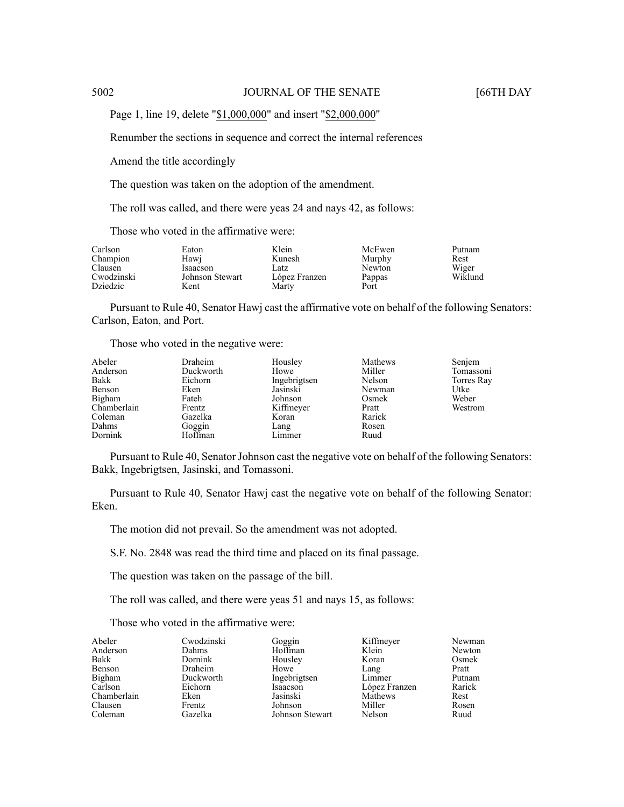Page 1, line 19, delete "\$1,000,000" and insert "\$2,000,000"

Renumber the sections in sequence and correct the internal references

Amend the title accordingly

The question was taken on the adoption of the amendment.

The roll was called, and there were yeas 24 and nays 42, as follows:

Those who voted in the affirmative were:

| Carlson    | Eaton           | Klein         | McEwen | Putnam  |
|------------|-----------------|---------------|--------|---------|
| Champion   | Hawi            | Kunesh        | Murphy | Rest    |
| Clausen    | <b>Isaacson</b> | Latz          | Newton | Wiger   |
| Cwodzinski | Johnson Stewart | López Franzen | Pappas | Wiklund |
| Dziedzic   | Kent            | Martv         | Port   |         |

Pursuant to Rule 40, Senator Hawj cast the affirmative vote on behalf of the following Senators: Carlson, Eaton, and Port.

Those who voted in the negative were:

| Abeler      | Draheim   | Housley      | Mathews | Senjem     |
|-------------|-----------|--------------|---------|------------|
| Anderson    | Duckworth | Howe         | Miller  | Tomassoni  |
| Bakk        | Eichorn   | Ingebrigtsen | Nelson  | Torres Ray |
| Benson      | Eken      | Jasinski     | Newman  | Utke       |
| Bigham      | Fateh     | Johnson      | Osmek   | Weber      |
| Chamberlain | Frentz    | Kiffmeyer    | Pratt   | Westrom    |
| Coleman     | Gazelka   | Koran        | Rarick  |            |
| Dahms       | Goggin    | Lang         | Rosen   |            |
| Dornink     | Hoffman   | Limmer       | Ruud    |            |

Pursuant to Rule 40, Senator Johnson cast the negative vote on behalf of the following Senators: Bakk, Ingebrigtsen, Jasinski, and Tomassoni.

Pursuant to Rule 40, Senator Hawj cast the negative vote on behalf of the following Senator: Eken.

The motion did not prevail. So the amendment was not adopted.

S.F. No. 2848 was read the third time and placed on its final passage.

The question was taken on the passage of the bill.

The roll was called, and there were yeas 51 and nays 15, as follows:

Those who voted in the affirmative were:

| Abeler      | Cwodzinski   | Goggin          | Kiffmeyer     | Newman |
|-------------|--------------|-----------------|---------------|--------|
| Anderson    | <b>Dahms</b> | Hoffman         | Klein         | Newton |
| Bakk        | Dornink      | Housley         | Koran         | Osmek  |
| Benson      | Draheim      | Howe            | Lang          | Pratt  |
| Bigham      | Duckworth    | Ingebrigtsen    | Limmer        | Putnam |
| Carlson     | Eichorn      | Isaacson        | López Franzen | Rarick |
| Chamberlain | Eken         | Jasinski        | Mathews       | Rest   |
| Clausen     | Frentz       | Johnson         | Miller        | Rosen  |
| Coleman     | Gazelka      | Johnson Stewart | Nelson        | Ruud   |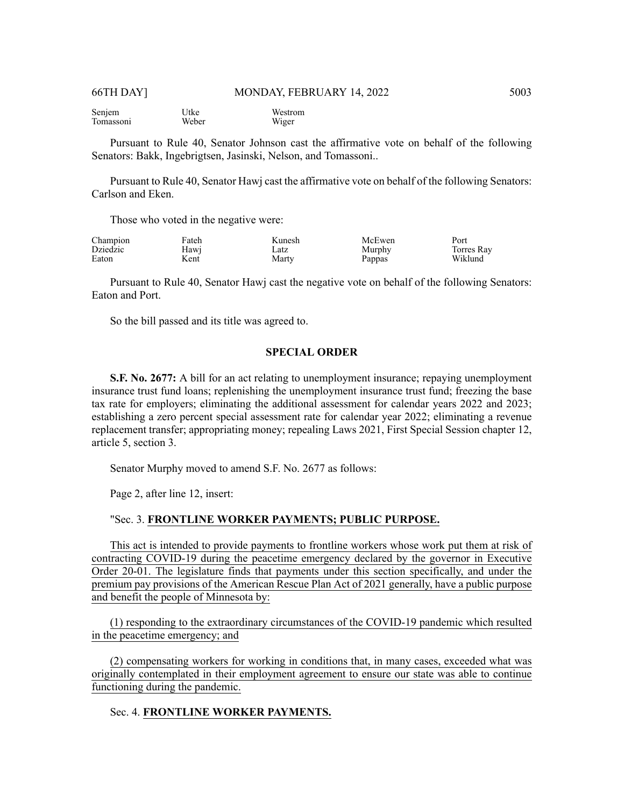Senjem Tomassoni Utke Weber Westrom Wiger

Pursuant to Rule 40, Senator Johnson cast the affirmative vote on behalf of the following Senators: Bakk, Ingebrigtsen, Jasinski, Nelson, and Tomassoni..

Pursuant to Rule 40, Senator Hawj cast the affirmative vote on behalf of the following Senators: Carlson and Eken.

Those who voted in the negative were:

| Champion | Fateh | Kunesh | McEwen | Port       |
|----------|-------|--------|--------|------------|
| Dziedzic | Hawj  | Latz   | Murphy | Torres Rav |
| Eaton    | Kent  | Marty  | Pappas | Wiklund    |

Pursuant to Rule 40, Senator Hawj cast the negative vote on behalf of the following Senators: Eaton and Port.

So the bill passed and its title was agreed to.

### **SPECIAL ORDER**

**S.F. No. 2677:** A bill for an act relating to unemployment insurance; repaying unemployment insurance trust fund loans; replenishing the unemployment insurance trust fund; freezing the base tax rate for employers; eliminating the additional assessment for calendar years 2022 and 2023; establishing a zero percent special assessment rate for calendar year 2022; eliminating a revenue replacement transfer; appropriating money; repealing Laws 2021, First Special Session chapter 12, article 5, section 3.

Senator Murphy moved to amend S.F. No. 2677 as follows:

Page 2, after line 12, insert:

# "Sec. 3. **FRONTLINE WORKER PAYMENTS; PUBLIC PURPOSE.**

This act is intended to provide payments to frontline workers whose work put them at risk of contracting COVID-19 during the peacetime emergency declared by the governor in Executive Order 20-01. The legislature finds that payments under this section specifically, and under the premium pay provisions of the American Rescue Plan Act of 2021 generally, have a public purpose and benefit the people of Minnesota by:

(1) responding to the extraordinary circumstances of the COVID-19 pandemic which resulted in the peacetime emergency; and

(2) compensating workers for working in conditions that, in many cases, exceeded what was originally contemplated in their employment agreement to ensure our state was able to continue functioning during the pandemic.

# Sec. 4. **FRONTLINE WORKER PAYMENTS.**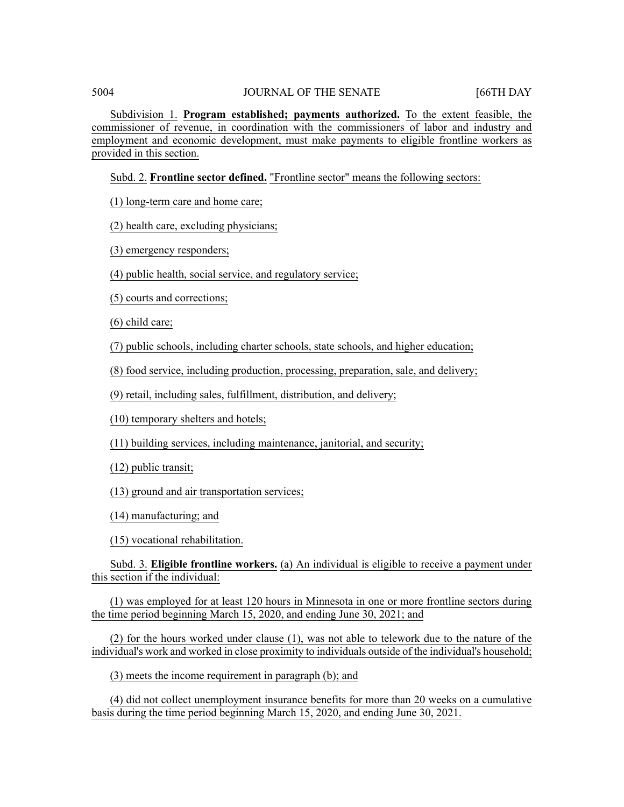Subdivision 1. **Program established; payments authorized.** To the extent feasible, the commissioner of revenue, in coordination with the commissioners of labor and industry and employment and economic development, must make payments to eligible frontline workers as provided in this section.

Subd. 2. **Frontline sector defined.** "Frontline sector" means the following sectors:

(1) long-term care and home care;

(2) health care, excluding physicians;

(3) emergency responders;

(4) public health, social service, and regulatory service;

(5) courts and corrections;

(6) child care;

(7) public schools, including charter schools, state schools, and higher education;

(8) food service, including production, processing, preparation, sale, and delivery;

(9) retail, including sales, fulfillment, distribution, and delivery;

(10) temporary shelters and hotels;

(11) building services, including maintenance, janitorial, and security;

(12) public transit;

(13) ground and air transportation services;

(14) manufacturing; and

(15) vocational rehabilitation.

Subd. 3. **Eligible frontline workers.** (a) An individual is eligible to receive a payment under this section if the individual:

(1) was employed for at least 120 hours in Minnesota in one or more frontline sectors during the time period beginning March 15, 2020, and ending June 30, 2021; and

(2) for the hours worked under clause (1), was not able to telework due to the nature of the individual's work and worked in close proximity to individuals outside of the individual's household;

(3) meets the income requirement in paragraph (b); and

(4) did not collect unemployment insurance benefits for more than 20 weeks on a cumulative basis during the time period beginning March 15, 2020, and ending June 30, 2021.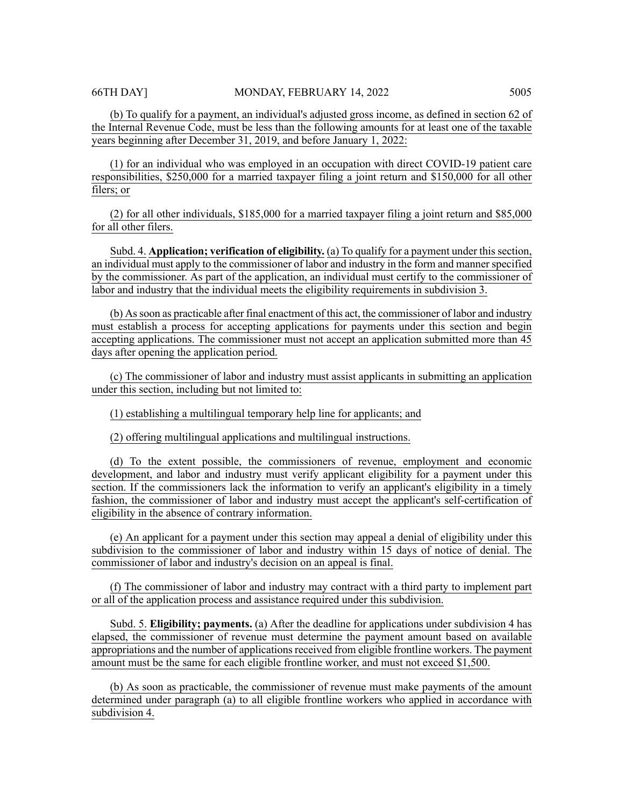(b) To qualify for a payment, an individual's adjusted gross income, as defined in section 62 of the Internal Revenue Code, must be less than the following amounts for at least one of the taxable years beginning after December 31, 2019, and before January 1, 2022:

(1) for an individual who was employed in an occupation with direct COVID-19 patient care responsibilities, \$250,000 for a married taxpayer filing a joint return and \$150,000 for all other filers; or

(2) for all other individuals, \$185,000 for a married taxpayer filing a joint return and \$85,000 for all other filers.

Subd. 4. **Application; verification of eligibility.** (a) To qualify for a payment under this section, an individual must apply to the commissioner of labor and industry in the form and manner specified by the commissioner. As part of the application, an individual must certify to the commissioner of labor and industry that the individual meets the eligibility requirements in subdivision 3.

(b) Assoon as practicable after final enactment of this act, the commissioner of labor and industry must establish a process for accepting applications for payments under this section and begin accepting applications. The commissioner must not accept an application submitted more than 45 days after opening the application period.

(c) The commissioner of labor and industry must assist applicants in submitting an application under this section, including but not limited to:

(1) establishing a multilingual temporary help line for applicants; and

(2) offering multilingual applications and multilingual instructions.

(d) To the extent possible, the commissioners of revenue, employment and economic development, and labor and industry must verify applicant eligibility for a payment under this section. If the commissioners lack the information to verify an applicant's eligibility in a timely fashion, the commissioner of labor and industry must accept the applicant's self-certification of eligibility in the absence of contrary information.

(e) An applicant for a payment under this section may appeal a denial of eligibility under this subdivision to the commissioner of labor and industry within 15 days of notice of denial. The commissioner of labor and industry's decision on an appeal is final.

(f) The commissioner of labor and industry may contract with a third party to implement part or all of the application process and assistance required under this subdivision.

Subd. 5. **Eligibility; payments.** (a) After the deadline for applications under subdivision 4 has elapsed, the commissioner of revenue must determine the payment amount based on available appropriations and the number of applications received from eligible frontline workers. The payment amount must be the same for each eligible frontline worker, and must not exceed \$1,500.

(b) As soon as practicable, the commissioner of revenue must make payments of the amount determined under paragraph (a) to all eligible frontline workers who applied in accordance with subdivision 4.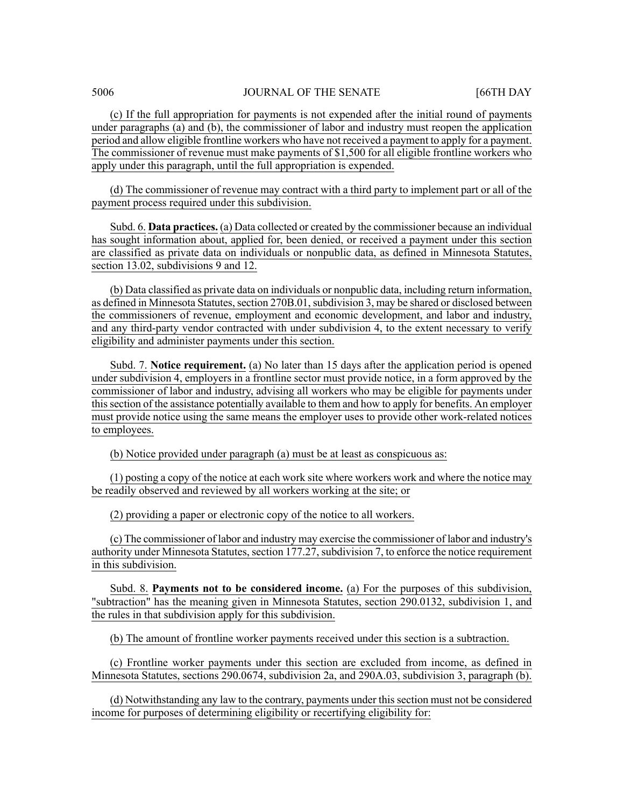(c) If the full appropriation for payments is not expended after the initial round of payments under paragraphs (a) and (b), the commissioner of labor and industry must reopen the application period and allow eligible frontline workers who have not received a payment to apply for a payment. The commissioner of revenue must make payments of \$1,500 for all eligible frontline workers who apply under this paragraph, until the full appropriation is expended.

(d) The commissioner of revenue may contract with a third party to implement part or all of the payment process required under this subdivision.

Subd. 6. **Data practices.** (a) Data collected or created by the commissioner because an individual has sought information about, applied for, been denied, or received a payment under this section are classified as private data on individuals or nonpublic data, as defined in Minnesota Statutes, section 13.02, subdivisions 9 and 12.

(b) Data classified as private data on individuals or nonpublic data, including return information, as defined in Minnesota Statutes, section 270B.01, subdivision 3, may be shared or disclosed between the commissioners of revenue, employment and economic development, and labor and industry, and any third-party vendor contracted with under subdivision 4, to the extent necessary to verify eligibility and administer payments under this section.

Subd. 7. **Notice requirement.** (a) No later than 15 days after the application period is opened under subdivision 4, employers in a frontline sector must provide notice, in a form approved by the commissioner of labor and industry, advising all workers who may be eligible for payments under thissection of the assistance potentially available to them and how to apply for benefits. An employer must provide notice using the same means the employer uses to provide other work-related notices to employees.

(b) Notice provided under paragraph (a) must be at least as conspicuous as:

(1) posting a copy of the notice at each work site where workers work and where the notice may be readily observed and reviewed by all workers working at the site; or

(2) providing a paper or electronic copy of the notice to all workers.

(c) The commissioner of labor and industry may exercise the commissioner of labor and industry's authority under Minnesota Statutes, section 177.27, subdivision 7, to enforce the notice requirement in this subdivision.

Subd. 8. **Payments not to be considered income.** (a) For the purposes of this subdivision, "subtraction" has the meaning given in Minnesota Statutes, section 290.0132, subdivision 1, and the rules in that subdivision apply for this subdivision.

(b) The amount of frontline worker payments received under this section is a subtraction.

(c) Frontline worker payments under this section are excluded from income, as defined in Minnesota Statutes, sections 290.0674, subdivision 2a, and 290A.03, subdivision 3, paragraph (b).

(d) Notwithstanding any law to the contrary, payments under this section must not be considered income for purposes of determining eligibility or recertifying eligibility for: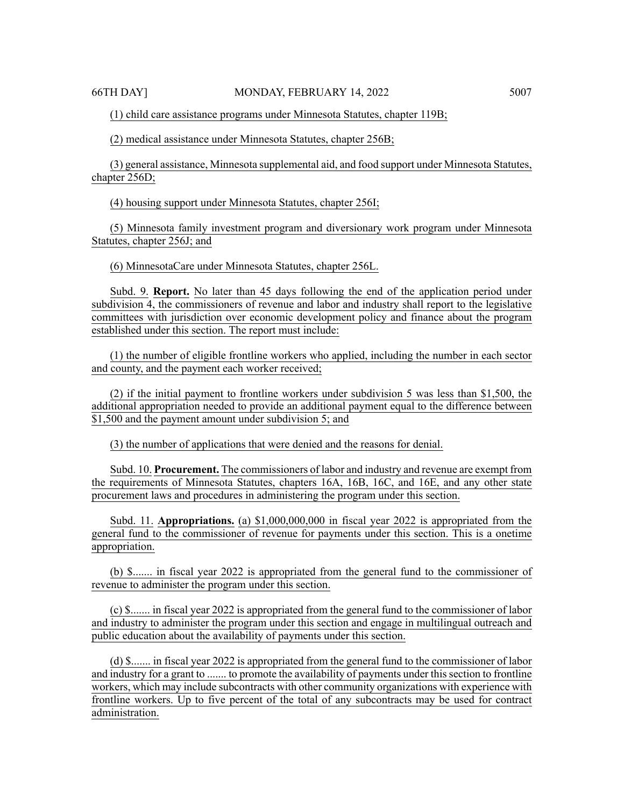(1) child care assistance programs under Minnesota Statutes, chapter 119B;

(2) medical assistance under Minnesota Statutes, chapter 256B;

(3) general assistance, Minnesota supplemental aid, and food support under Minnesota Statutes, chapter 256D;

(4) housing support under Minnesota Statutes, chapter 256I;

(5) Minnesota family investment program and diversionary work program under Minnesota Statutes, chapter 256J; and

(6) MinnesotaCare under Minnesota Statutes, chapter 256L.

Subd. 9. **Report.** No later than 45 days following the end of the application period under subdivision 4, the commissioners of revenue and labor and industry shall report to the legislative committees with jurisdiction over economic development policy and finance about the program established under this section. The report must include:

(1) the number of eligible frontline workers who applied, including the number in each sector and county, and the payment each worker received;

(2) if the initial payment to frontline workers under subdivision 5 was less than \$1,500, the additional appropriation needed to provide an additional payment equal to the difference between \$1,500 and the payment amount under subdivision 5; and

(3) the number of applications that were denied and the reasons for denial.

Subd. 10. **Procurement.** The commissioners of labor and industry and revenue are exempt from the requirements of Minnesota Statutes, chapters 16A, 16B, 16C, and 16E, and any other state procurement laws and procedures in administering the program under this section.

Subd. 11. **Appropriations.** (a) \$1,000,000,000 in fiscal year 2022 is appropriated from the general fund to the commissioner of revenue for payments under this section. This is a onetime appropriation.

(b) \$....... in fiscal year 2022 is appropriated from the general fund to the commissioner of revenue to administer the program under this section.

(c) \$....... in fiscal year 2022 is appropriated from the general fund to the commissioner of labor and industry to administer the program under this section and engage in multilingual outreach and public education about the availability of payments under this section.

(d) \$....... in fiscal year 2022 is appropriated from the general fund to the commissioner of labor and industry for a grant to ....... to promote the availability of payments under this section to frontline workers, which may include subcontracts with other community organizations with experience with frontline workers. Up to five percent of the total of any subcontracts may be used for contract administration.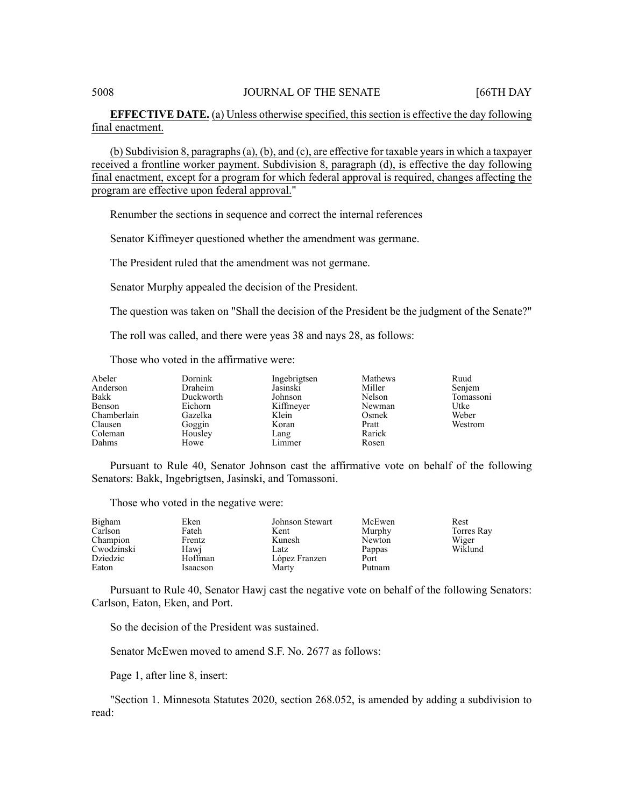# **EFFECTIVE DATE.** (a) Unless otherwise specified, this section is effective the day following final enactment.

(b) Subdivision 8, paragraphs $(a)$ ,  $(b)$ , and  $(c)$ , are effective for taxable years in which a taxpayer received a frontline worker payment. Subdivision 8, paragraph (d), is effective the day following final enactment, except for a program for which federal approval is required, changes affecting the program are effective upon federal approval."

Renumber the sections in sequence and correct the internal references

Senator Kiffmeyer questioned whether the amendment was germane.

The President ruled that the amendment was not germane.

Senator Murphy appealed the decision of the President.

The question was taken on "Shall the decision of the President be the judgment of the Senate?"

The roll was called, and there were yeas 38 and nays 28, as follows:

Those who voted in the affirmative were:

| Abeler<br>Anderson<br>Bakk<br>Benson<br>Chamberlain<br>Clausen<br>Coleman<br>Dahms | <b>Dornink</b><br>Draheim<br>Duckworth<br>Eichorn<br>Gazelka<br>Goggin<br>Housley | Ingebrigtsen<br>Jasinski<br>Johnson<br>Kiffmeyer<br>Klein<br>Koran<br>Lang<br>Limmer | Mathews<br>Miller<br>Nelson<br>Newman<br>Osmek<br>Pratt<br>Rarick | Ruud<br>Senjem<br>Tomassoni<br>Utke<br>Weber<br>Westrom |
|------------------------------------------------------------------------------------|-----------------------------------------------------------------------------------|--------------------------------------------------------------------------------------|-------------------------------------------------------------------|---------------------------------------------------------|
|                                                                                    | Howe                                                                              |                                                                                      | Rosen                                                             |                                                         |

Pursuant to Rule 40, Senator Johnson cast the affirmative vote on behalf of the following Senators: Bakk, Ingebrigtsen, Jasinski, and Tomassoni.

Those who voted in the negative were:

| Bigham     | Eken     | Johnson Stewart | McEwen | Rest       |
|------------|----------|-----------------|--------|------------|
| Carlson    | Fateh    | Kent            | Murphy | Torres Ray |
| Champion   | Frentz   | Kunesh          | Newton | Wiger      |
| Cwodzinski | Hawi     | Latz            | Pappas | Wiklund    |
| Dziedzic   | Hoffman  | López Franzen   | Port   |            |
| Eaton      | Isaacson | Marty           | Putnam |            |

Pursuant to Rule 40, Senator Hawj cast the negative vote on behalf of the following Senators: Carlson, Eaton, Eken, and Port.

So the decision of the President was sustained.

Senator McEwen moved to amend S.F. No. 2677 as follows:

Page 1, after line 8, insert:

"Section 1. Minnesota Statutes 2020, section 268.052, is amended by adding a subdivision to read: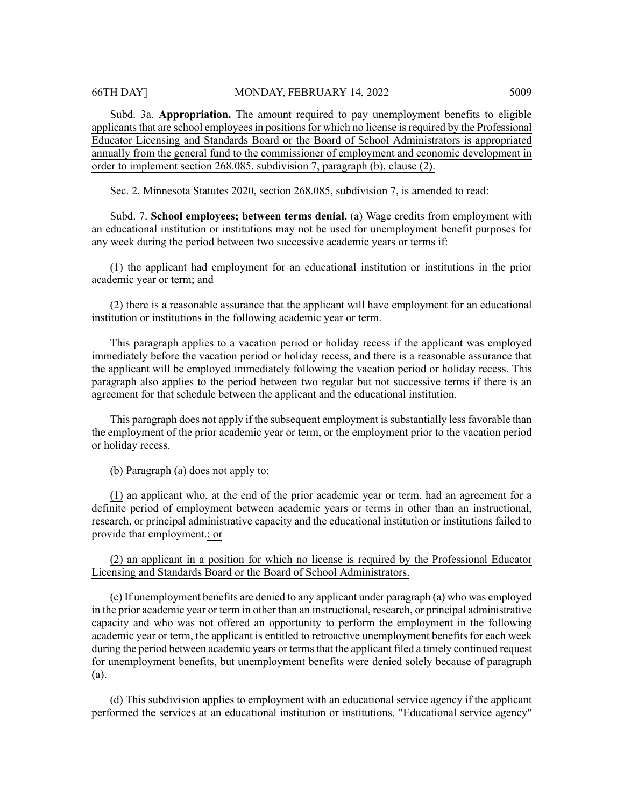Subd. 3a. **Appropriation.** The amount required to pay unemployment benefits to eligible applicants that are school employees in positions for which no license is required by the Professional Educator Licensing and Standards Board or the Board of School Administrators is appropriated annually from the general fund to the commissioner of employment and economic development in order to implement section 268.085, subdivision 7, paragraph (b), clause (2).

Sec. 2. Minnesota Statutes 2020, section 268.085, subdivision 7, is amended to read:

Subd. 7. **School employees; between terms denial.** (a) Wage credits from employment with an educational institution or institutions may not be used for unemployment benefit purposes for any week during the period between two successive academic years or terms if:

(1) the applicant had employment for an educational institution or institutions in the prior academic year or term; and

(2) there is a reasonable assurance that the applicant will have employment for an educational institution or institutions in the following academic year or term.

This paragraph applies to a vacation period or holiday recess if the applicant was employed immediately before the vacation period or holiday recess, and there is a reasonable assurance that the applicant will be employed immediately following the vacation period or holiday recess. This paragraph also applies to the period between two regular but not successive terms if there is an agreement for that schedule between the applicant and the educational institution.

This paragraph does not apply if the subsequent employment is substantially less favorable than the employment of the prior academic year or term, or the employment prior to the vacation period or holiday recess.

(b) Paragraph (a) does not apply to:

(1) an applicant who, at the end of the prior academic year or term, had an agreement for a definite period of employment between academic years or terms in other than an instructional, research, or principal administrative capacity and the educational institution or institutions failed to provide that employment.; or

(2) an applicant in a position for which no license is required by the Professional Educator Licensing and Standards Board or the Board of School Administrators.

(c) If unemployment benefits are denied to any applicant under paragraph (a) who was employed in the prior academic year or term in other than an instructional, research, or principal administrative capacity and who was not offered an opportunity to perform the employment in the following academic year or term, the applicant is entitled to retroactive unemployment benefits for each week during the period between academic years or terms that the applicant filed a timely continued request for unemployment benefits, but unemployment benefits were denied solely because of paragraph (a).

(d) This subdivision applies to employment with an educational service agency if the applicant performed the services at an educational institution or institutions. "Educational service agency"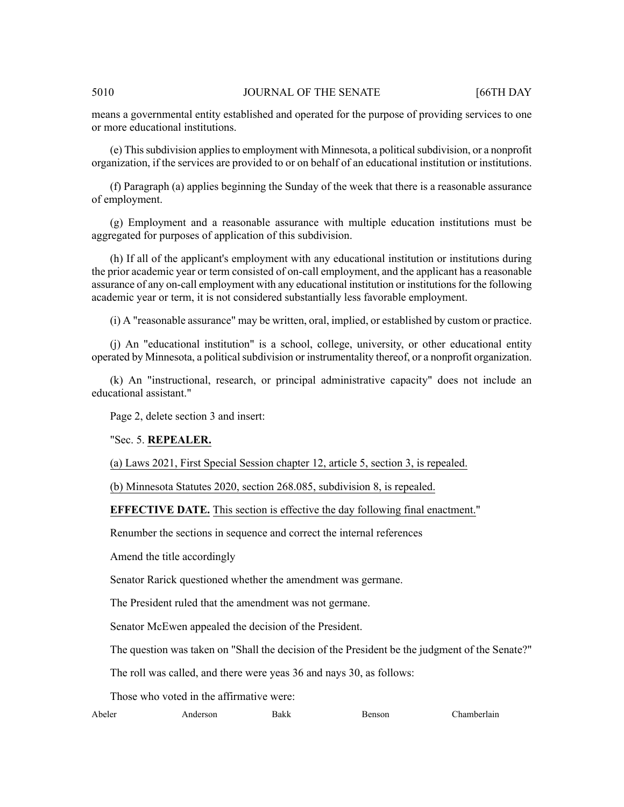#### 5010 **JOURNAL OF THE SENATE** [66TH DAY

means a governmental entity established and operated for the purpose of providing services to one or more educational institutions.

(e) Thissubdivision appliesto employment with Minnesota, a politicalsubdivision, or a nonprofit organization, if the services are provided to or on behalf of an educational institution or institutions.

(f) Paragraph (a) applies beginning the Sunday of the week that there is a reasonable assurance of employment.

(g) Employment and a reasonable assurance with multiple education institutions must be aggregated for purposes of application of this subdivision.

(h) If all of the applicant's employment with any educational institution or institutions during the prior academic year or term consisted of on-call employment, and the applicant has a reasonable assurance of any on-call employment with any educational institution or institutions for the following academic year or term, it is not considered substantially less favorable employment.

(i) A "reasonable assurance" may be written, oral, implied, or established by custom or practice.

(j) An "educational institution" is a school, college, university, or other educational entity operated by Minnesota, a political subdivision or instrumentality thereof, or a nonprofit organization.

(k) An "instructional, research, or principal administrative capacity" does not include an educational assistant."

Page 2, delete section 3 and insert:

### "Sec. 5. **REPEALER.**

(a) Laws 2021, First Special Session chapter 12, article 5, section 3, is repealed.

(b) Minnesota Statutes 2020, section 268.085, subdivision 8, is repealed.

**EFFECTIVE DATE.** This section is effective the day following final enactment."

Renumber the sections in sequence and correct the internal references

Amend the title accordingly

Senator Rarick questioned whether the amendment was germane.

The President ruled that the amendment was not germane.

Senator McEwen appealed the decision of the President.

The question was taken on "Shall the decision of the President be the judgment of the Senate?"

The roll was called, and there were yeas 36 and nays 30, as follows:

Those who voted in the affirmative were:

Abeler Anderson Bakk Benson Chamberlain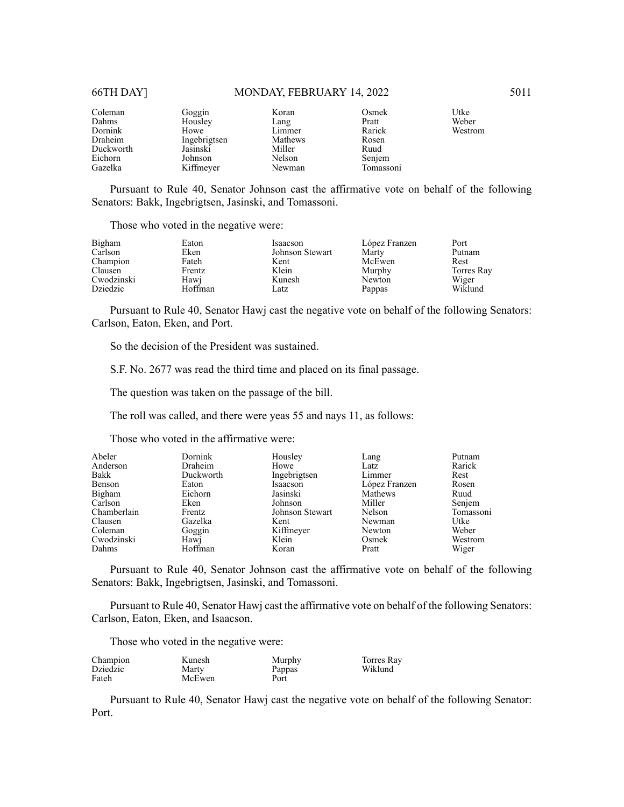#### 66TH DAY] MONDAY, FEBRUARY 14, 2022 5011

| Coleman<br>Dahms<br>Dornink<br>Draheim<br>Duckworth | Goggin<br>Housley<br>Howe<br>Ingebrigtsen<br>Jasinski | Koran<br>Lang<br>Limmer<br>Mathews<br>Miller<br>Nelson | Osmek<br>Pratt<br>Rarick<br>Rosen<br>Ruud | Utke<br>Weber<br>Westrom |
|-----------------------------------------------------|-------------------------------------------------------|--------------------------------------------------------|-------------------------------------------|--------------------------|
| Eichorn<br>Gazelka                                  | Johnson<br>Kiffmeyer                                  | Newman                                                 | Senjem<br>Tomassoni                       |                          |

Pursuant to Rule 40, Senator Johnson cast the affirmative vote on behalf of the following Senators: Bakk, Ingebrigtsen, Jasinski, and Tomassoni.

Those who voted in the negative were:

| Bigham<br>Carlson | Eaton<br>Eken | Isaacson<br>Johnson Stewart | López Franzen<br>Marty | Port<br>Putnam |
|-------------------|---------------|-----------------------------|------------------------|----------------|
| Champion          | Fateh         | Kent                        | McEwen                 | Rest           |
| Clausen           | Frentz        | Klein                       | Murphy                 | Torres Ray     |
| Cwodzinski        | Hawi          | Kunesh                      | Newton                 | Wiger          |
| Dziedzic          | Hoffman       | Latz                        | Pappas                 | Wiklund        |

Pursuant to Rule 40, Senator Hawj cast the negative vote on behalf of the following Senators: Carlson, Eaton, Eken, and Port.

So the decision of the President was sustained.

S.F. No. 2677 was read the third time and placed on its final passage.

The question was taken on the passage of the bill.

The roll was called, and there were yeas 55 and nays 11, as follows:

Those who voted in the affirmative were:

| Abeler      | Dornink   | Housley         | Lang          | Putnam    |
|-------------|-----------|-----------------|---------------|-----------|
| Anderson    | Draheim   | Howe            | Latz          | Rarick    |
| Bakk        | Duckworth | Ingebrigtsen    | Limmer        | Rest      |
| Benson      | Eaton     | Isaacson        | López Franzen | Rosen     |
| Bigham      | Eichorn   | Jasinski        | Mathews       | Ruud      |
| Carlson     | Eken      | Johnson         | Miller        | Senjem    |
| Chamberlain | Frentz    | Johnson Stewart | Nelson        | Tomassoni |
| Clausen     | Gazelka   | Kent            | Newman        | Utke      |
| Coleman     | Goggin    | Kiffmeyer       | Newton        | Weber     |
| Cwodzinski  | Hawj      | Klein           | Osmek         | Westrom   |
| Dahms       | Hoffman   | Koran           | Pratt         | Wiger     |

Pursuant to Rule 40, Senator Johnson cast the affirmative vote on behalf of the following Senators: Bakk, Ingebrigtsen, Jasinski, and Tomassoni.

Pursuant to Rule 40, Senator Hawj cast the affirmative vote on behalf of the following Senators: Carlson, Eaton, Eken, and Isaacson.

Those who voted in the negative were:

| Champion        | Kunesh | Murphy | Torres Ray |
|-----------------|--------|--------|------------|
| <b>Dziedzic</b> | Marty  | Pappas | Wiklund    |
| Fateh           | McEwen | Port   |            |

Pursuant to Rule 40, Senator Hawj cast the negative vote on behalf of the following Senator: Port.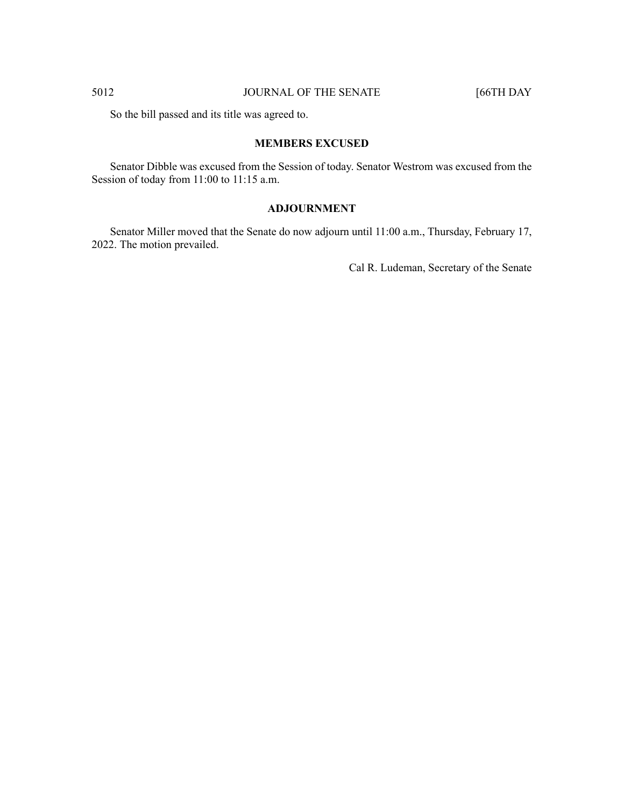So the bill passed and its title was agreed to.

# **MEMBERS EXCUSED**

Senator Dibble was excused from the Session of today. Senator Westrom was excused from the Session of today from 11:00 to 11:15 a.m.

# **ADJOURNMENT**

Senator Miller moved that the Senate do now adjourn until 11:00 a.m., Thursday, February 17, 2022. The motion prevailed.

Cal R. Ludeman, Secretary of the Senate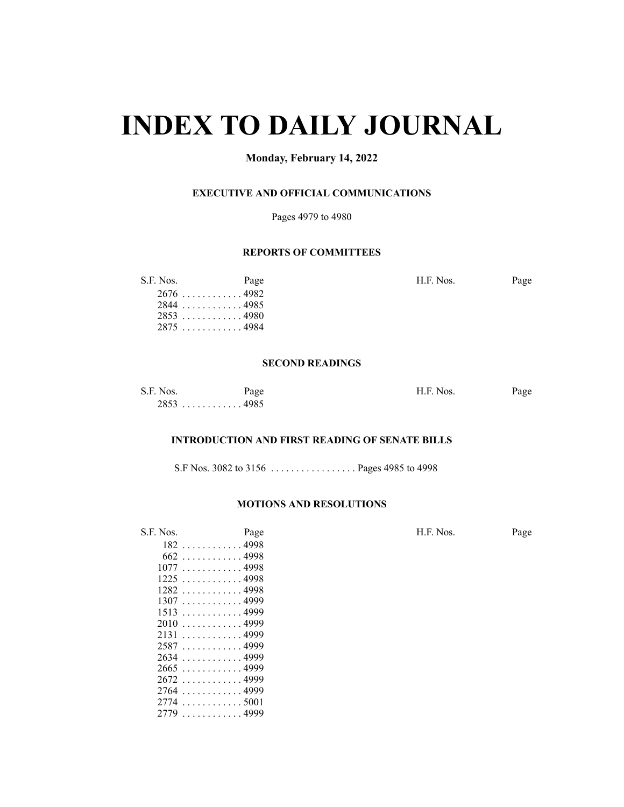# **INDEX TO DAILY JOURNAL**

# **Monday, February 14, 2022**

# **EXECUTIVE AND OFFICIAL COMMUNICATIONS**

Pages 4979 to 4980

# **REPORTS OF COMMITTEES**

| Page | H.F. Nos.                                                          | Page |
|------|--------------------------------------------------------------------|------|
|      |                                                                    |      |
|      |                                                                    |      |
|      |                                                                    |      |
|      |                                                                    |      |
|      | S.F. Nos.<br>$2676$ 4982<br>28444985<br>$2853$ 4980<br>$2875$ 4984 |      |

#### **SECOND READINGS**

| S.F. Nos. | Page | H.F. Nos. | Page |
|-----------|------|-----------|------|
|           |      |           |      |

# **INTRODUCTION AND FIRST READING OF SENATE BILLS**

S.F Nos. 3082 to 3156 . . . . . . . . . . . . . . . . . Pages 4985 to 4998

### **MOTIONS AND RESOLUTIONS**

. . . . . . . . . . . . 4999